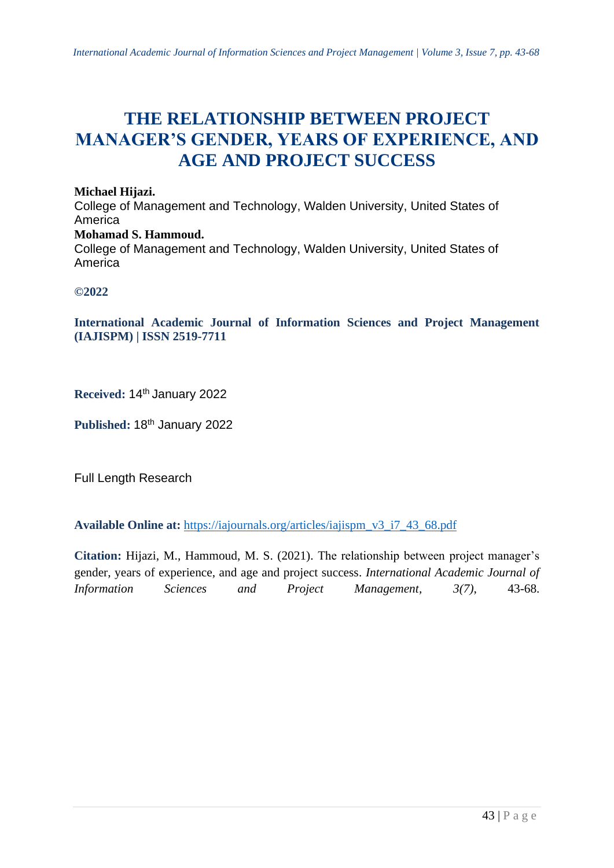# **THE RELATIONSHIP BETWEEN PROJECT MANAGER'S GENDER, YEARS OF EXPERIENCE, AND AGE AND PROJECT SUCCESS**

**Michael Hijazi.** College of Management and Technology, Walden University, United States of America **Mohamad S. Hammoud.** College of Management and Technology, Walden University, United States of America

**©2022**

**International Academic Journal of Information Sciences and Project Management (IAJISPM) | ISSN 2519-7711**

**Received:** 14 th January 2022

Published: 18<sup>th</sup> January 2022

Full Length Research

**Available Online at:** [https://iajournals.org/articles/iajispm\\_v3\\_i7\\_43\\_68.pdf](https://iajournals.org/articles/iajispm_v3_i7_43_68.pdf)

**Citation:** Hijazi, M., Hammoud, M. S. (2021). The relationship between project manager's gender, years of experience, and age and project success. *International Academic Journal of Information Sciences and Project Management, 3(7)*, 43-68.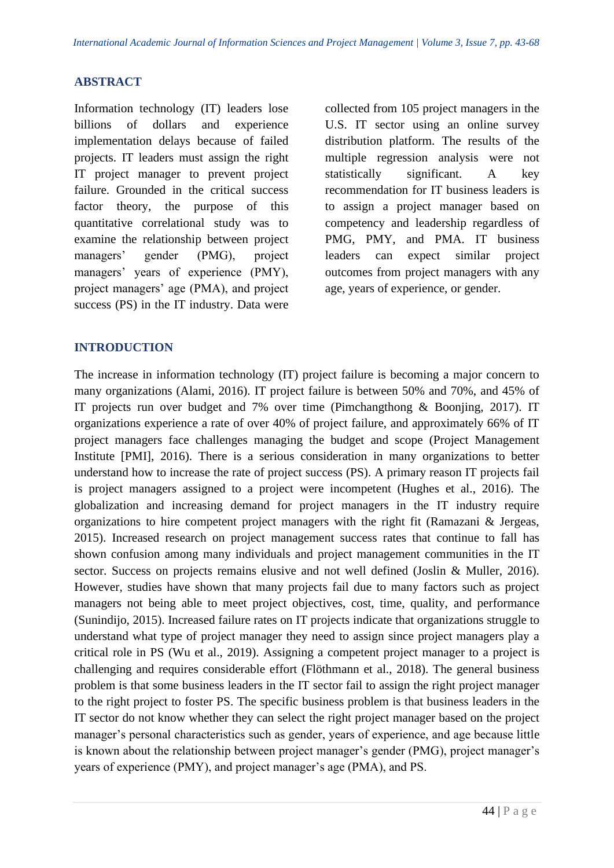#### **ABSTRACT**

Information technology (IT) leaders lose billions of dollars and experience implementation delays because of failed projects. IT leaders must assign the right IT project manager to prevent project failure. Grounded in the critical success factor theory, the purpose of this quantitative correlational study was to examine the relationship between project managers' gender (PMG), project managers' years of experience (PMY), project managers' age (PMA), and project success (PS) in the IT industry. Data were

collected from 105 project managers in the U.S. IT sector using an online survey distribution platform. The results of the multiple regression analysis were not statistically significant. A key recommendation for IT business leaders is to assign a project manager based on competency and leadership regardless of PMG, PMY, and PMA. IT business leaders can expect similar project outcomes from project managers with any age, years of experience, or gender.

#### **INTRODUCTION**

The increase in information technology (IT) project failure is becoming a major concern to many organizations (Alami, 2016). IT project failure is between 50% and 70%, and 45% of IT projects run over budget and 7% over time (Pimchangthong & Boonjing, 2017). IT organizations experience a rate of over 40% of project failure, and approximately 66% of IT project managers face challenges managing the budget and scope (Project Management Institute [PMI], 2016). There is a serious consideration in many organizations to better understand how to increase the rate of project success (PS). A primary reason IT projects fail is project managers assigned to a project were incompetent (Hughes et al., 2016). The globalization and increasing demand for project managers in the IT industry require organizations to hire competent project managers with the right fit (Ramazani & Jergeas, 2015). Increased research on project management success rates that continue to fall has shown confusion among many individuals and project management communities in the IT sector. Success on projects remains elusive and not well defined (Joslin & Muller, 2016). However, studies have shown that many projects fail due to many factors such as project managers not being able to meet project objectives, cost, time, quality, and performance (Sunindijo, 2015). Increased failure rates on IT projects indicate that organizations struggle to understand what type of project manager they need to assign since project managers play a critical role in PS (Wu et al., 2019). Assigning a competent project manager to a project is challenging and requires considerable effort (Flöthmann et al., 2018). The general business problem is that some business leaders in the IT sector fail to assign the right project manager to the right project to foster PS. The specific business problem is that business leaders in the IT sector do not know whether they can select the right project manager based on the project manager's personal characteristics such as gender, years of experience, and age because little is known about the relationship between project manager's gender (PMG), project manager's years of experience (PMY), and project manager's age (PMA), and PS.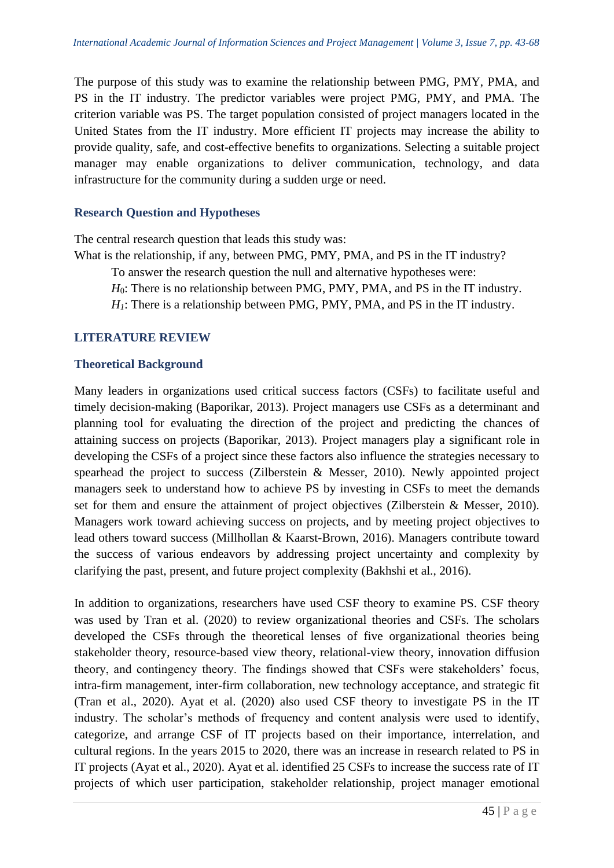The purpose of this study was to examine the relationship between PMG, PMY, PMA, and PS in the IT industry. The predictor variables were project PMG, PMY, and PMA. The criterion variable was PS. The target population consisted of project managers located in the United States from the IT industry. More efficient IT projects may increase the ability to provide quality, safe, and cost-effective benefits to organizations. Selecting a suitable project manager may enable organizations to deliver communication, technology, and data infrastructure for the community during a sudden urge or need.

# **Research Question and Hypotheses**

The central research question that leads this study was:

What is the relationship, if any, between PMG, PMY, PMA, and PS in the IT industry?

To answer the research question the null and alternative hypotheses were:

*H*<sub>0</sub>: There is no relationship between PMG, PMY, PMA, and PS in the IT industry.

*H*<sub>1</sub>: There is a relationship between PMG, PMY, PMA, and PS in the IT industry.

# **LITERATURE REVIEW**

#### **Theoretical Background**

Many leaders in organizations used critical success factors (CSFs) to facilitate useful and timely decision-making (Baporikar, 2013). Project managers use CSFs as a determinant and planning tool for evaluating the direction of the project and predicting the chances of attaining success on projects (Baporikar, 2013). Project managers play a significant role in developing the CSFs of a project since these factors also influence the strategies necessary to spearhead the project to success (Zilberstein & Messer, 2010). Newly appointed project managers seek to understand how to achieve PS by investing in CSFs to meet the demands set for them and ensure the attainment of project objectives (Zilberstein & Messer, 2010). Managers work toward achieving success on projects, and by meeting project objectives to lead others toward success (Millhollan & Kaarst-Brown, 2016). Managers contribute toward the success of various endeavors by addressing project uncertainty and complexity by clarifying the past, present, and future project complexity (Bakhshi et al., 2016).

In addition to organizations, researchers have used CSF theory to examine PS. CSF theory was used by Tran et al. (2020) to review organizational theories and CSFs. The scholars developed the CSFs through the theoretical lenses of five organizational theories being stakeholder theory, resource-based view theory, relational-view theory, innovation diffusion theory, and contingency theory. The findings showed that CSFs were stakeholders' focus, intra-firm management, inter-firm collaboration, new technology acceptance, and strategic fit (Tran et al., 2020). Ayat et al. (2020) also used CSF theory to investigate PS in the IT industry. The scholar's methods of frequency and content analysis were used to identify, categorize, and arrange CSF of IT projects based on their importance, interrelation, and cultural regions. In the years 2015 to 2020, there was an increase in research related to PS in IT projects (Ayat et al., 2020). Ayat et al. identified 25 CSFs to increase the success rate of IT projects of which user participation, stakeholder relationship, project manager emotional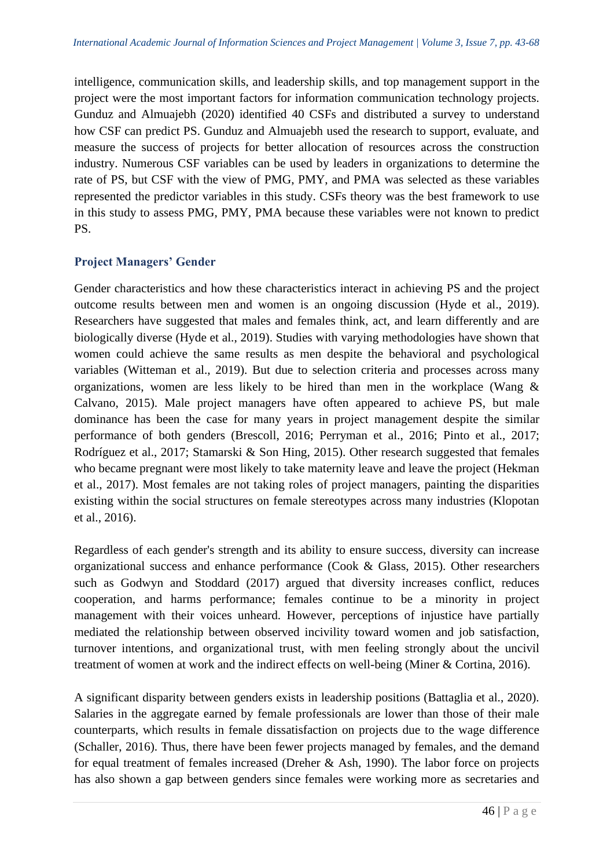intelligence, communication skills, and leadership skills, and top management support in the project were the most important factors for information communication technology projects. Gunduz and Almuajebh (2020) identified 40 CSFs and distributed a survey to understand how CSF can predict PS. Gunduz and Almuajebh used the research to support, evaluate, and measure the success of projects for better allocation of resources across the construction industry. Numerous CSF variables can be used by leaders in organizations to determine the rate of PS, but CSF with the view of PMG, PMY, and PMA was selected as these variables represented the predictor variables in this study. CSFs theory was the best framework to use in this study to assess PMG, PMY, PMA because these variables were not known to predict PS.

# **Project Managers' Gender**

Gender characteristics and how these characteristics interact in achieving PS and the project outcome results between men and women is an ongoing discussion (Hyde et al., 2019). Researchers have suggested that males and females think, act, and learn differently and are biologically diverse (Hyde et al., 2019). Studies with varying methodologies have shown that women could achieve the same results as men despite the behavioral and psychological variables (Witteman et al., 2019). But due to selection criteria and processes across many organizations, women are less likely to be hired than men in the workplace (Wang & Calvano, 2015). Male project managers have often appeared to achieve PS, but male dominance has been the case for many years in project management despite the similar performance of both genders (Brescoll, 2016; Perryman et al., 2016; Pinto et al., 2017; Rodríguez et al., 2017; Stamarski & Son Hing, 2015). Other research suggested that females who became pregnant were most likely to take maternity leave and leave the project (Hekman et al., 2017). Most females are not taking roles of project managers, painting the disparities existing within the social structures on female stereotypes across many industries (Klopotan et al., 2016).

Regardless of each gender's strength and its ability to ensure success, diversity can increase organizational success and enhance performance (Cook & Glass, 2015). Other researchers such as Godwyn and Stoddard (2017) argued that diversity increases conflict, reduces cooperation, and harms performance; females continue to be a minority in project management with their voices unheard. However, perceptions of injustice have partially mediated the relationship between observed incivility toward women and job satisfaction, turnover intentions, and organizational trust, with men feeling strongly about the uncivil treatment of women at work and the indirect effects on well-being (Miner & Cortina, 2016).

A significant disparity between genders exists in leadership positions (Battaglia et al., 2020). Salaries in the aggregate earned by female professionals are lower than those of their male counterparts, which results in female dissatisfaction on projects due to the wage difference (Schaller, 2016). Thus, there have been fewer projects managed by females, and the demand for equal treatment of females increased (Dreher & Ash, 1990). The labor force on projects has also shown a gap between genders since females were working more as secretaries and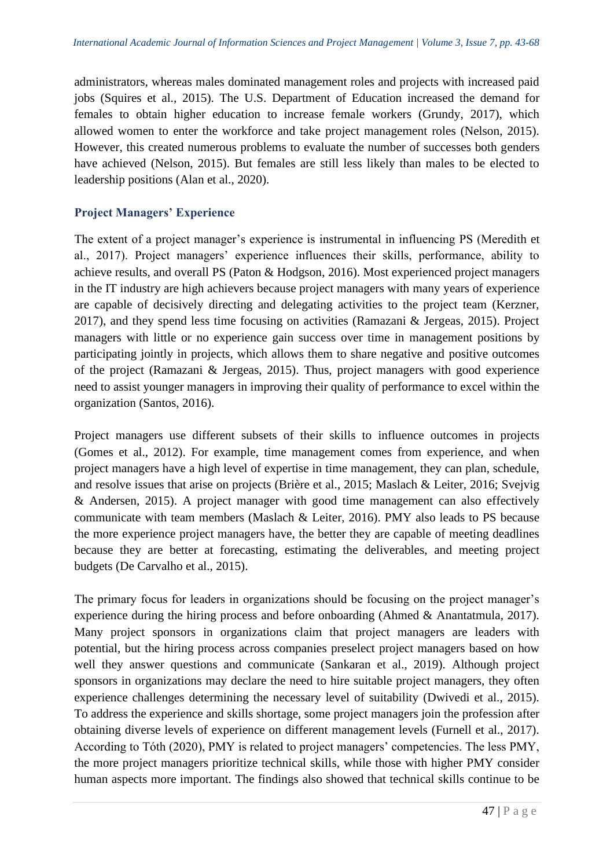administrators, whereas males dominated management roles and projects with increased paid jobs (Squires et al., 2015). The U.S. Department of Education increased the demand for females to obtain higher education to increase female workers (Grundy, 2017), which allowed women to enter the workforce and take project management roles (Nelson, 2015). However, this created numerous problems to evaluate the number of successes both genders have achieved (Nelson, 2015). But females are still less likely than males to be elected to leadership positions (Alan et al., 2020).

# **Project Managers' Experience**

The extent of a project manager's experience is instrumental in influencing PS (Meredith et al., 2017). Project managers' experience influences their skills, performance, ability to achieve results, and overall PS (Paton & Hodgson, 2016). Most experienced project managers in the IT industry are high achievers because project managers with many years of experience are capable of decisively directing and delegating activities to the project team (Kerzner, 2017), and they spend less time focusing on activities (Ramazani & Jergeas, 2015). Project managers with little or no experience gain success over time in management positions by participating jointly in projects, which allows them to share negative and positive outcomes of the project (Ramazani & Jergeas, 2015). Thus, project managers with good experience need to assist younger managers in improving their quality of performance to excel within the organization (Santos, 2016).

Project managers use different subsets of their skills to influence outcomes in projects (Gomes et al., 2012). For example, time management comes from experience, and when project managers have a high level of expertise in time management, they can plan, schedule, and resolve issues that arise on projects (Brière et al., 2015; Maslach & Leiter, 2016; Svejvig & Andersen, 2015). A project manager with good time management can also effectively communicate with team members (Maslach & Leiter, 2016). PMY also leads to PS because the more experience project managers have, the better they are capable of meeting deadlines because they are better at forecasting, estimating the deliverables, and meeting project budgets (De Carvalho et al., 2015).

The primary focus for leaders in organizations should be focusing on the project manager's experience during the hiring process and before onboarding (Ahmed & Anantatmula, 2017). Many project sponsors in organizations claim that project managers are leaders with potential, but the hiring process across companies preselect project managers based on how well they answer questions and communicate (Sankaran et al., 2019). Although project sponsors in organizations may declare the need to hire suitable project managers, they often experience challenges determining the necessary level of suitability (Dwivedi et al., 2015). To address the experience and skills shortage, some project managers join the profession after obtaining diverse levels of experience on different management levels (Furnell et al., 2017). According to Tóth (2020), PMY is related to project managers' competencies. The less PMY, the more project managers prioritize technical skills, while those with higher PMY consider human aspects more important. The findings also showed that technical skills continue to be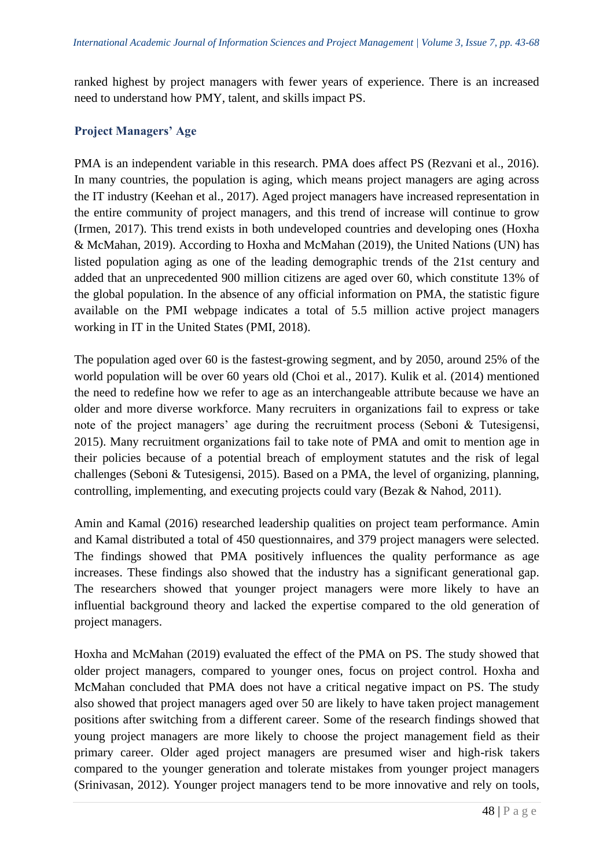ranked highest by project managers with fewer years of experience. There is an increased need to understand how PMY, talent, and skills impact PS.

# **Project Managers' Age**

PMA is an independent variable in this research. PMA does affect PS (Rezvani et al., 2016). In many countries, the population is aging, which means project managers are aging across the IT industry (Keehan et al., 2017). Aged project managers have increased representation in the entire community of project managers, and this trend of increase will continue to grow (Irmen, 2017). This trend exists in both undeveloped countries and developing ones (Hoxha & McMahan, 2019). According to Hoxha and McMahan (2019), the United Nations (UN) has listed population aging as one of the leading demographic trends of the 21st century and added that an unprecedented 900 million citizens are aged over 60, which constitute 13% of the global population. In the absence of any official information on PMA, the statistic figure available on the PMI webpage indicates a total of 5.5 million active project managers working in IT in the United States (PMI, 2018).

The population aged over 60 is the fastest-growing segment, and by 2050, around 25% of the world population will be over 60 years old (Choi et al., 2017). Kulik et al. (2014) mentioned the need to redefine how we refer to age as an interchangeable attribute because we have an older and more diverse workforce. Many recruiters in organizations fail to express or take note of the project managers' age during the recruitment process (Seboni & Tutesigensi, 2015). Many recruitment organizations fail to take note of PMA and omit to mention age in their policies because of a potential breach of employment statutes and the risk of legal challenges (Seboni & Tutesigensi, 2015). Based on a PMA, the level of organizing, planning, controlling, implementing, and executing projects could vary (Bezak & Nahod, 2011).

Amin and Kamal (2016) researched leadership qualities on project team performance. Amin and Kamal distributed a total of 450 questionnaires, and 379 project managers were selected. The findings showed that PMA positively influences the quality performance as age increases. These findings also showed that the industry has a significant generational gap. The researchers showed that younger project managers were more likely to have an influential background theory and lacked the expertise compared to the old generation of project managers.

Hoxha and McMahan (2019) evaluated the effect of the PMA on PS. The study showed that older project managers, compared to younger ones, focus on project control. Hoxha and McMahan concluded that PMA does not have a critical negative impact on PS. The study also showed that project managers aged over 50 are likely to have taken project management positions after switching from a different career. Some of the research findings showed that young project managers are more likely to choose the project management field as their primary career. Older aged project managers are presumed wiser and high-risk takers compared to the younger generation and tolerate mistakes from younger project managers (Srinivasan, 2012). Younger project managers tend to be more innovative and rely on tools,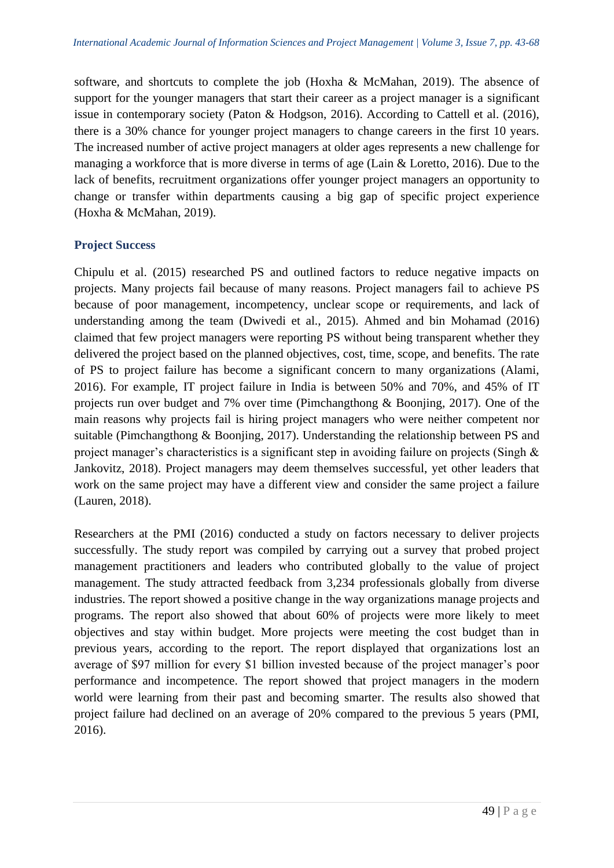software, and shortcuts to complete the job (Hoxha & McMahan, 2019). The absence of support for the younger managers that start their career as a project manager is a significant issue in contemporary society (Paton & Hodgson, 2016). According to Cattell et al. (2016), there is a 30% chance for younger project managers to change careers in the first 10 years. The increased number of active project managers at older ages represents a new challenge for managing a workforce that is more diverse in terms of age (Lain & Loretto, 2016). Due to the lack of benefits, recruitment organizations offer younger project managers an opportunity to change or transfer within departments causing a big gap of specific project experience (Hoxha & McMahan, 2019).

# **Project Success**

Chipulu et al. (2015) researched PS and outlined factors to reduce negative impacts on projects. Many projects fail because of many reasons. Project managers fail to achieve PS because of poor management, incompetency, unclear scope or requirements, and lack of understanding among the team (Dwivedi et al., 2015). Ahmed and bin Mohamad (2016) claimed that few project managers were reporting PS without being transparent whether they delivered the project based on the planned objectives, cost, time, scope, and benefits. The rate of PS to project failure has become a significant concern to many organizations (Alami, 2016). For example, IT project failure in India is between 50% and 70%, and 45% of IT projects run over budget and 7% over time (Pimchangthong & Boonjing, 2017). One of the main reasons why projects fail is hiring project managers who were neither competent nor suitable (Pimchangthong & Boonjing, 2017). Understanding the relationship between PS and project manager's characteristics is a significant step in avoiding failure on projects (Singh & Jankovitz, 2018). Project managers may deem themselves successful, yet other leaders that work on the same project may have a different view and consider the same project a failure (Lauren, 2018).

Researchers at the PMI (2016) conducted a study on factors necessary to deliver projects successfully. The study report was compiled by carrying out a survey that probed project management practitioners and leaders who contributed globally to the value of project management. The study attracted feedback from 3,234 professionals globally from diverse industries. The report showed a positive change in the way organizations manage projects and programs. The report also showed that about 60% of projects were more likely to meet objectives and stay within budget. More projects were meeting the cost budget than in previous years, according to the report. The report displayed that organizations lost an average of \$97 million for every \$1 billion invested because of the project manager's poor performance and incompetence. The report showed that project managers in the modern world were learning from their past and becoming smarter. The results also showed that project failure had declined on an average of 20% compared to the previous 5 years (PMI, 2016).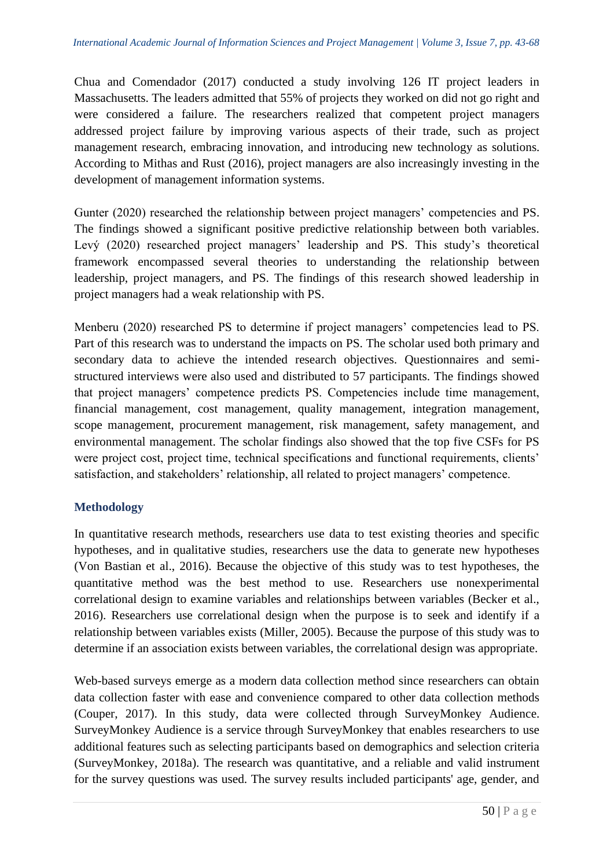Chua and Comendador (2017) conducted a study involving 126 IT project leaders in Massachusetts. The leaders admitted that 55% of projects they worked on did not go right and were considered a failure. The researchers realized that competent project managers addressed project failure by improving various aspects of their trade, such as project management research, embracing innovation, and introducing new technology as solutions. According to Mithas and Rust (2016), project managers are also increasingly investing in the development of management information systems.

Gunter (2020) researched the relationship between project managers' competencies and PS. The findings showed a significant positive predictive relationship between both variables. Levý (2020) researched project managers' leadership and PS. This study's theoretical framework encompassed several theories to understanding the relationship between leadership, project managers, and PS. The findings of this research showed leadership in project managers had a weak relationship with PS.

Menberu (2020) researched PS to determine if project managers' competencies lead to PS. Part of this research was to understand the impacts on PS. The scholar used both primary and secondary data to achieve the intended research objectives. Questionnaires and semistructured interviews were also used and distributed to 57 participants. The findings showed that project managers' competence predicts PS. Competencies include time management, financial management, cost management, quality management, integration management, scope management, procurement management, risk management, safety management, and environmental management. The scholar findings also showed that the top five CSFs for PS were project cost, project time, technical specifications and functional requirements, clients' satisfaction, and stakeholders' relationship, all related to project managers' competence.

# **Methodology**

In quantitative research methods, researchers use data to test existing theories and specific hypotheses, and in qualitative studies, researchers use the data to generate new hypotheses (Von Bastian et al., 2016). Because the objective of this study was to test hypotheses, the quantitative method was the best method to use. Researchers use nonexperimental correlational design to examine variables and relationships between variables (Becker et al., 2016). Researchers use correlational design when the purpose is to seek and identify if a relationship between variables exists (Miller, 2005). Because the purpose of this study was to determine if an association exists between variables, the correlational design was appropriate.

Web-based surveys emerge as a modern data collection method since researchers can obtain data collection faster with ease and convenience compared to other data collection methods (Couper, 2017). In this study, data were collected through SurveyMonkey Audience. SurveyMonkey Audience is a service through SurveyMonkey that enables researchers to use additional features such as selecting participants based on demographics and selection criteria (SurveyMonkey, 2018a). The research was quantitative, and a reliable and valid instrument for the survey questions was used. The survey results included participants' age, gender, and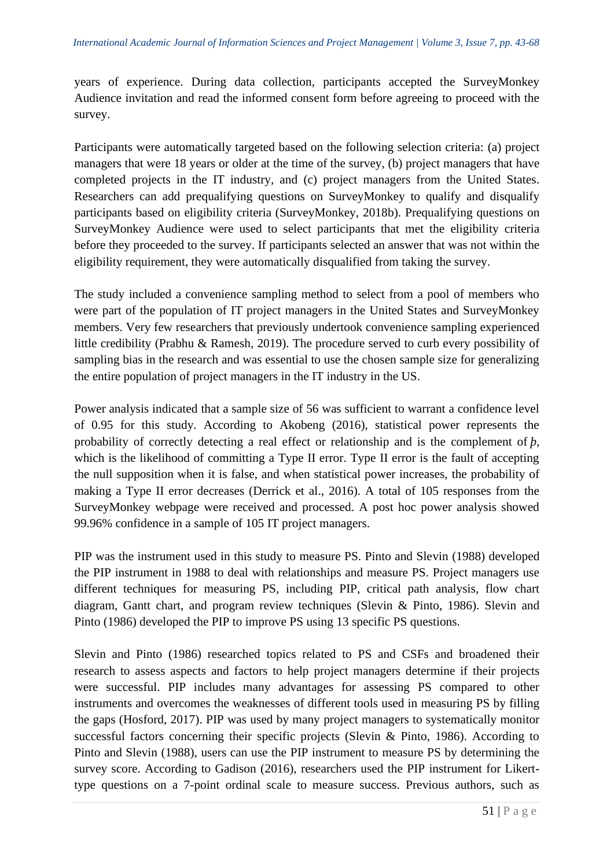years of experience. During data collection, participants accepted the SurveyMonkey Audience invitation and read the informed consent form before agreeing to proceed with the survey.

Participants were automatically targeted based on the following selection criteria: (a) project managers that were 18 years or older at the time of the survey, (b) project managers that have completed projects in the IT industry, and (c) project managers from the United States. Researchers can add prequalifying questions on SurveyMonkey to qualify and disqualify participants based on eligibility criteria (SurveyMonkey, 2018b). Prequalifying questions on SurveyMonkey Audience were used to select participants that met the eligibility criteria before they proceeded to the survey. If participants selected an answer that was not within the eligibility requirement, they were automatically disqualified from taking the survey.

The study included a convenience sampling method to select from a pool of members who were part of the population of IT project managers in the United States and SurveyMonkey members. Very few researchers that previously undertook convenience sampling experienced little credibility (Prabhu & Ramesh, 2019). The procedure served to curb every possibility of sampling bias in the research and was essential to use the chosen sample size for generalizing the entire population of project managers in the IT industry in the US.

Power analysis indicated that a sample size of 56 was sufficient to warrant a confidence level of 0.95 for this study. According to Akobeng (2016), statistical power represents the probability of correctly detecting a real effect or relationship and is the complement of *þ*, which is the likelihood of committing a Type II error. Type II error is the fault of accepting the null supposition when it is false, and when statistical power increases, the probability of making a Type II error decreases (Derrick et al., 2016). A total of 105 responses from the SurveyMonkey webpage were received and processed. A post hoc power analysis showed 99.96% confidence in a sample of 105 IT project managers.

PIP was the instrument used in this study to measure PS. Pinto and Slevin (1988) developed the PIP instrument in 1988 to deal with relationships and measure PS. Project managers use different techniques for measuring PS, including PIP, critical path analysis, flow chart diagram, Gantt chart, and program review techniques (Slevin & Pinto, 1986). Slevin and Pinto (1986) developed the PIP to improve PS using 13 specific PS questions.

Slevin and Pinto (1986) researched topics related to PS and CSFs and broadened their research to assess aspects and factors to help project managers determine if their projects were successful. PIP includes many advantages for assessing PS compared to other instruments and overcomes the weaknesses of different tools used in measuring PS by filling the gaps (Hosford, 2017). PIP was used by many project managers to systematically monitor successful factors concerning their specific projects (Slevin & Pinto, 1986). According to Pinto and Slevin (1988), users can use the PIP instrument to measure PS by determining the survey score. According to Gadison (2016), researchers used the PIP instrument for Likerttype questions on a 7-point ordinal scale to measure success. Previous authors, such as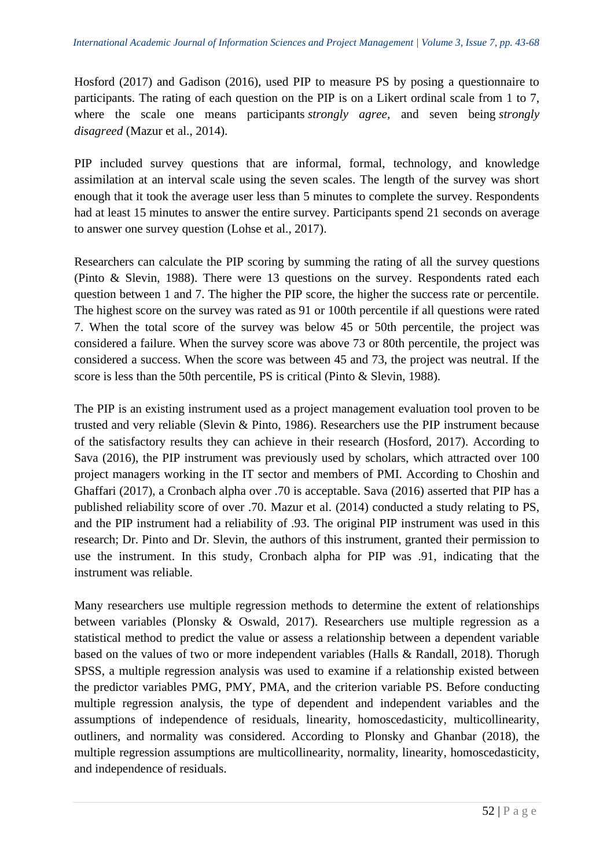Hosford (2017) and Gadison (2016), used PIP to measure PS by posing a questionnaire to participants. The rating of each question on the PIP is on a Likert ordinal scale from 1 to 7, where the scale one means participants *strongly agree*, and seven being *strongly disagreed* (Mazur et al., 2014).

PIP included survey questions that are informal, formal, technology, and knowledge assimilation at an interval scale using the seven scales. The length of the survey was short enough that it took the average user less than 5 minutes to complete the survey. Respondents had at least 15 minutes to answer the entire survey. Participants spend 21 seconds on average to answer one survey question (Lohse et al., 2017).

Researchers can calculate the PIP scoring by summing the rating of all the survey questions (Pinto & Slevin, 1988). There were 13 questions on the survey. Respondents rated each question between 1 and 7. The higher the PIP score, the higher the success rate or percentile. The highest score on the survey was rated as 91 or 100th percentile if all questions were rated 7. When the total score of the survey was below 45 or 50th percentile, the project was considered a failure. When the survey score was above 73 or 80th percentile, the project was considered a success. When the score was between 45 and 73, the project was neutral. If the score is less than the 50th percentile, PS is critical (Pinto & Slevin, 1988).

The PIP is an existing instrument used as a project management evaluation tool proven to be trusted and very reliable (Slevin & Pinto, 1986). Researchers use the PIP instrument because of the satisfactory results they can achieve in their research (Hosford, 2017). According to Sava (2016), the PIP instrument was previously used by scholars, which attracted over 100 project managers working in the IT sector and members of PMI. According to Choshin and Ghaffari (2017), a Cronbach alpha over .70 is acceptable. Sava (2016) asserted that PIP has a published reliability score of over .70. Mazur et al. (2014) conducted a study relating to PS, and the PIP instrument had a reliability of .93. The original PIP instrument was used in this research; Dr. Pinto and Dr. Slevin, the authors of this instrument, granted their permission to use the instrument. In this study, Cronbach alpha for PIP was .91, indicating that the instrument was reliable.

Many researchers use multiple regression methods to determine the extent of relationships between variables (Plonsky & Oswald, 2017). Researchers use multiple regression as a statistical method to predict the value or assess a relationship between a dependent variable based on the values of two or more independent variables (Halls & Randall, 2018). Thorugh SPSS, a multiple regression analysis was used to examine if a relationship existed between the predictor variables PMG, PMY, PMA, and the criterion variable PS. Before conducting multiple regression analysis, the type of dependent and independent variables and the assumptions of independence of residuals, linearity, homoscedasticity, multicollinearity, outliners, and normality was considered. According to Plonsky and Ghanbar (2018), the multiple regression assumptions are multicollinearity, normality, linearity, homoscedasticity, and independence of residuals.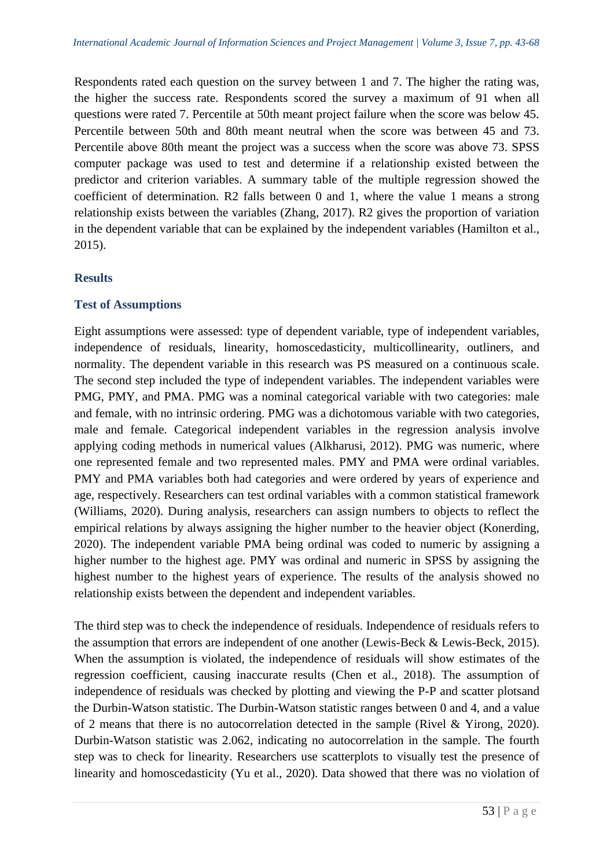Respondents rated each question on the survey between 1 and 7. The higher the rating was, the higher the success rate. Respondents scored the survey a maximum of 91 when all questions were rated 7. Percentile at 50th meant project failure when the score was below 45. Percentile between 50th and 80th meant neutral when the score was between 45 and 73. Percentile above 80th meant the project was a success when the score was above 73. SPSS computer package was used to test and determine if a relationship existed between the predictor and criterion variables. A summary table of the multiple regression showed the coefficient of determination. R2 falls between 0 and 1, where the value 1 means a strong relationship exists between the variables (Zhang, 2017). R2 gives the proportion of variation in the dependent variable that can be explained by the independent variables (Hamilton et al., 2015).

# **Results**

# **Test of Assumptions**

Eight assumptions were assessed: type of dependent variable, type of independent variables, independence of residuals, linearity, homoscedasticity, multicollinearity, outliners, and normality. The dependent variable in this research was PS measured on a continuous scale. The second step included the type of independent variables. The independent variables were PMG, PMY, and PMA. PMG was a nominal categorical variable with two categories: male and female, with no intrinsic ordering. PMG was a dichotomous variable with two categories, male and female. Categorical independent variables in the regression analysis involve applying coding methods in numerical values (Alkharusi, 2012). PMG was numeric, where one represented female and two represented males. PMY and PMA were ordinal variables. PMY and PMA variables both had categories and were ordered by years of experience and age, respectively. Researchers can test ordinal variables with a common statistical framework (Williams, 2020). During analysis, researchers can assign numbers to objects to reflect the empirical relations by always assigning the higher number to the heavier object (Konerding, 2020). The independent variable PMA being ordinal was coded to numeric by assigning a higher number to the highest age. PMY was ordinal and numeric in SPSS by assigning the highest number to the highest years of experience. The results of the analysis showed no relationship exists between the dependent and independent variables.

The third step was to check the independence of residuals. Independence of residuals refers to the assumption that errors are independent of one another (Lewis-Beck & Lewis-Beck, 2015). When the assumption is violated, the independence of residuals will show estimates of the regression coefficient, causing inaccurate results (Chen et al., 2018). The assumption of independence of residuals was checked by plotting and viewing the P-P and scatter plotsand the Durbin-Watson statistic. The Durbin-Watson statistic ranges between 0 and 4, and a value of 2 means that there is no autocorrelation detected in the sample (Rivel & Yirong, 2020). Durbin-Watson statistic was 2.062, indicating no autocorrelation in the sample. The fourth step was to check for linearity. Researchers use scatterplots to visually test the presence of linearity and homoscedasticity (Yu et al., 2020). Data showed that there was no violation of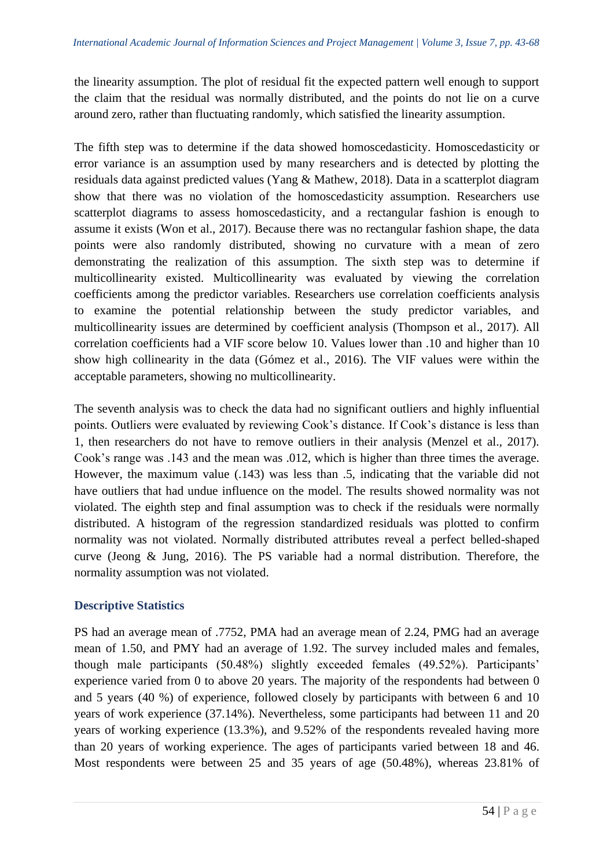the linearity assumption. The plot of residual fit the expected pattern well enough to support the claim that the residual was normally distributed, and the points do not lie on a curve around zero, rather than fluctuating randomly, which satisfied the linearity assumption.

The fifth step was to determine if the data showed homoscedasticity. Homoscedasticity or error variance is an assumption used by many researchers and is detected by plotting the residuals data against predicted values (Yang & Mathew, 2018). Data in a scatterplot diagram show that there was no violation of the homoscedasticity assumption. Researchers use scatterplot diagrams to assess homoscedasticity, and a rectangular fashion is enough to assume it exists (Won et al., 2017). Because there was no rectangular fashion shape, the data points were also randomly distributed, showing no curvature with a mean of zero demonstrating the realization of this assumption. The sixth step was to determine if multicollinearity existed. Multicollinearity was evaluated by viewing the correlation coefficients among the predictor variables. Researchers use correlation coefficients analysis to examine the potential relationship between the study predictor variables, and multicollinearity issues are determined by coefficient analysis (Thompson et al., 2017). All correlation coefficients had a VIF score below 10. Values lower than .10 and higher than 10 show high collinearity in the data (Gómez et al., 2016). The VIF values were within the acceptable parameters, showing no multicollinearity.

The seventh analysis was to check the data had no significant outliers and highly influential points. Outliers were evaluated by reviewing Cook's distance. If Cook's distance is less than 1, then researchers do not have to remove outliers in their analysis (Menzel et al., 2017). Cook's range was .143 and the mean was .012, which is higher than three times the average. However, the maximum value (.143) was less than .5, indicating that the variable did not have outliers that had undue influence on the model. The results showed normality was not violated. The eighth step and final assumption was to check if the residuals were normally distributed. A histogram of the regression standardized residuals was plotted to confirm normality was not violated. Normally distributed attributes reveal a perfect belled-shaped curve (Jeong & Jung, 2016). The PS variable had a normal distribution. Therefore, the normality assumption was not violated.

# **Descriptive Statistics**

PS had an average mean of .7752, PMA had an average mean of 2.24, PMG had an average mean of 1.50, and PMY had an average of 1.92. The survey included males and females, though male participants (50.48%) slightly exceeded females (49.52%). Participants' experience varied from 0 to above 20 years. The majority of the respondents had between 0 and 5 years (40 %) of experience, followed closely by participants with between 6 and 10 years of work experience (37.14%). Nevertheless, some participants had between 11 and 20 years of working experience (13.3%), and 9.52% of the respondents revealed having more than 20 years of working experience. The ages of participants varied between 18 and 46. Most respondents were between 25 and 35 years of age (50.48%), whereas 23.81% of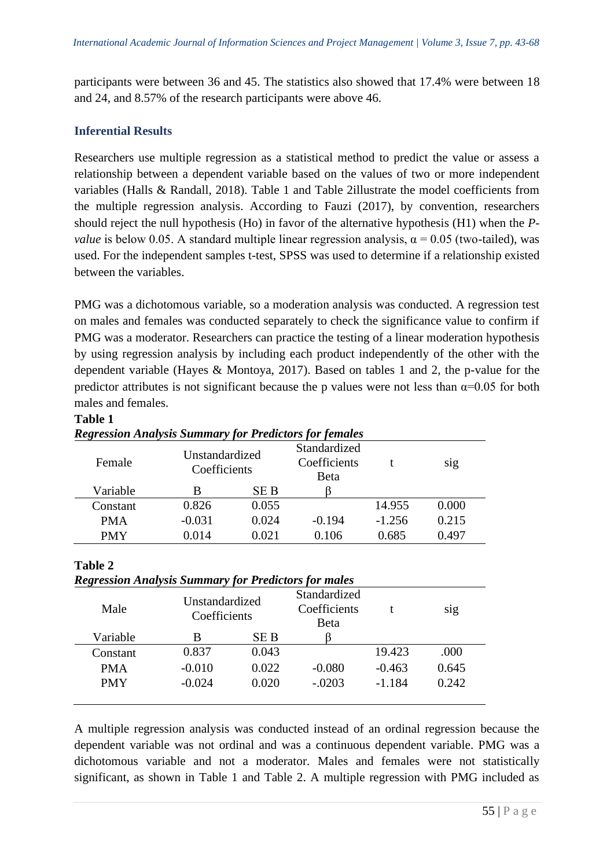participants were between 36 and 45. The statistics also showed that 17.4% were between 18 and 24, and 8.57% of the research participants were above 46.

# **Inferential Results**

Researchers use multiple regression as a statistical method to predict the value or assess a relationship between a dependent variable based on the values of two or more independent variables (Halls & Randall, 2018). Table 1 and Table 2illustrate the model coefficients from the multiple regression analysis. According to Fauzi (2017), by convention, researchers should reject the null hypothesis (Ho) in favor of the alternative hypothesis (H1) when the *Pvalue* is below 0.05. A standard multiple linear regression analysis,  $\alpha = 0.05$  (two-tailed), was used. For the independent samples t-test, SPSS was used to determine if a relationship existed between the variables.

PMG was a dichotomous variable, so a moderation analysis was conducted. A regression test on males and females was conducted separately to check the significance value to confirm if PMG was a moderator. Researchers can practice the testing of a linear moderation hypothesis by using regression analysis by including each product independently of the other with the dependent variable (Hayes & Montoya, 2017). Based on tables 1 and 2, the p-value for the predictor attributes is not significant because the p values were not less than  $\alpha$ =0.05 for both males and females.

| <b>Regression Analysis Summary for Predictors for females</b> |                                |       |                                              |          |       |  |  |
|---------------------------------------------------------------|--------------------------------|-------|----------------------------------------------|----------|-------|--|--|
| Female                                                        | Unstandardized<br>Coefficients |       | Standardized<br>Coefficients<br><b>B</b> eta |          | S1g   |  |  |
| Variable                                                      | В                              | SE B  |                                              |          |       |  |  |
| Constant                                                      | 0.826                          | 0.055 |                                              | 14.955   | 0.000 |  |  |
| <b>PMA</b>                                                    | $-0.031$                       | 0.024 | $-0.194$                                     | $-1.256$ | 0.215 |  |  |
| <b>PMY</b>                                                    | 0.014                          | 0.021 | 0.106                                        | 0.685    | 0.497 |  |  |

# **Table 1**

#### **Table 2**

| Male       | <b>Regression Analysis Summary for Predictors for males</b><br>Unstandardized<br>Coefficients |       | Standardized<br>Coefficients<br><b>B</b> eta |          | S1g   |
|------------|-----------------------------------------------------------------------------------------------|-------|----------------------------------------------|----------|-------|
| Variable   | В                                                                                             | SE B  |                                              |          |       |
| Constant   | 0.837                                                                                         | 0.043 |                                              | 19.423   | .000  |
| <b>PMA</b> | $-0.010$                                                                                      | 0.022 | $-0.080$                                     | $-0.463$ | 0.645 |
| <b>PMY</b> | $-0.024$                                                                                      | 0.020 | $-.0203$                                     | $-1.184$ | 0.242 |

A multiple regression analysis was conducted instead of an ordinal regression because the dependent variable was not ordinal and was a continuous dependent variable. PMG was a dichotomous variable and not a moderator. Males and females were not statistically significant, as shown in Table 1 and Table 2. A multiple regression with PMG included as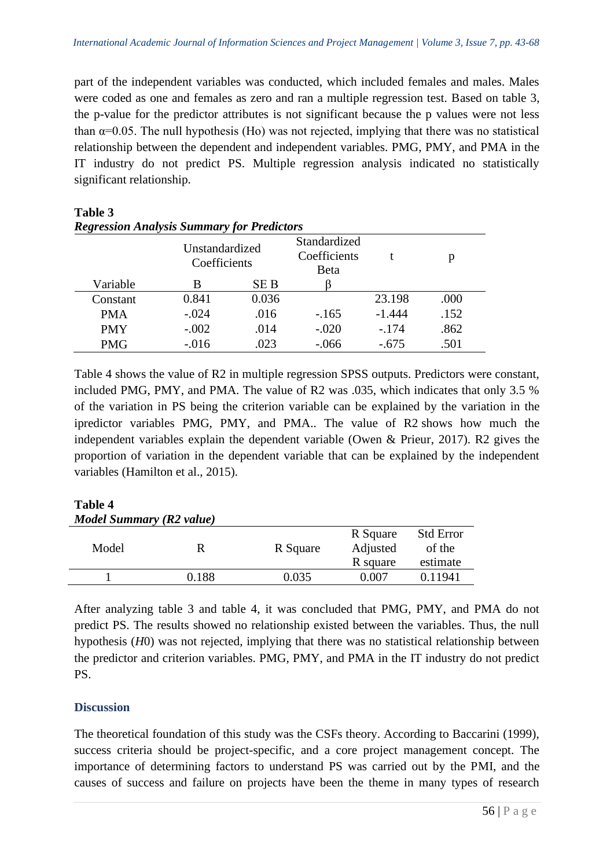part of the independent variables was conducted, which included females and males. Males were coded as one and females as zero and ran a multiple regression test. Based on table 3, the p-value for the predictor attributes is not significant because the p values were not less than  $\alpha$ =0.05. The null hypothesis (Ho) was not rejected, implying that there was no statistical relationship between the dependent and independent variables. PMG, PMY, and PMA in the IT industry do not predict PS. Multiple regression analysis indicated no statistically significant relationship.

| <b>Regression Analysis Summary for Predictors</b> |                                |            |                                      |          |      |  |  |
|---------------------------------------------------|--------------------------------|------------|--------------------------------------|----------|------|--|--|
|                                                   | Unstandardized<br>Coefficients |            | Standardized<br>Coefficients<br>Beta |          | р    |  |  |
| Variable                                          | В                              | <b>SEB</b> |                                      |          |      |  |  |
| Constant                                          | 0.841                          | 0.036      |                                      | 23.198   | .000 |  |  |
| <b>PMA</b>                                        | $-.024$                        | .016       | $-165$                               | $-1.444$ | .152 |  |  |
| <b>PMY</b>                                        | $-.002$                        | .014       | $-.020$                              | $-174$   | .862 |  |  |
| <b>PMG</b>                                        | $-0.016$                       | .023       | $-.066$                              | $-.675$  | .501 |  |  |

*Regression Analysis Summary for Predictors*

**Table 3**

Table 4 shows the value of R2 in multiple regression SPSS outputs. Predictors were constant, included PMG, PMY, and PMA. The value of R2 was .035, which indicates that only 3.5 % of the variation in PS being the criterion variable can be explained by the variation in the ipredictor variables PMG, PMY, and PMA.. The value of R2 shows how much the independent variables explain the dependent variable (Owen & Prieur, 2017). R2 gives the proportion of variation in the dependent variable that can be explained by the independent variables (Hamilton et al., 2015).

# **Table 4** *Model Summary (R2 value)*

| Model |       |          | R Square | <b>Std Error</b> |
|-------|-------|----------|----------|------------------|
|       |       | R Square | Adjusted | of the           |
|       |       |          | R square | estimate         |
|       | 0.188 | 0.035    | 0.007    | 0.11941          |
|       |       |          |          |                  |

After analyzing table 3 and table 4, it was concluded that PMG, PMY, and PMA do not predict PS. The results showed no relationship existed between the variables. Thus, the null hypothesis (*H*0) was not rejected, implying that there was no statistical relationship between the predictor and criterion variables. PMG, PMY, and PMA in the IT industry do not predict PS.

# **Discussion**

The theoretical foundation of this study was the CSFs theory. According to Baccarini (1999), success criteria should be project-specific, and a core project management concept. The importance of determining factors to understand PS was carried out by the PMI, and the causes of success and failure on projects have been the theme in many types of research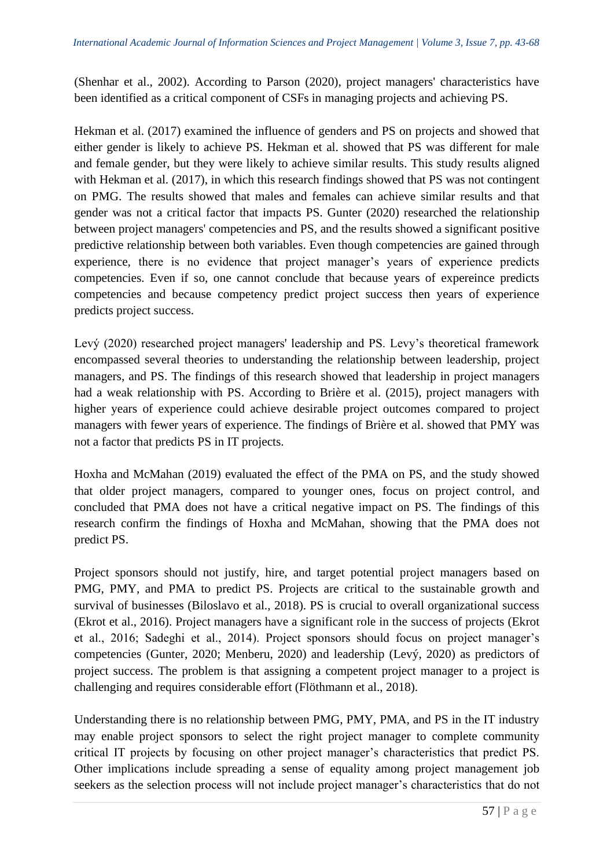(Shenhar et al., 2002). According to Parson (2020), project managers' characteristics have been identified as a critical component of CSFs in managing projects and achieving PS.

Hekman et al. (2017) examined the influence of genders and PS on projects and showed that either gender is likely to achieve PS. Hekman et al. showed that PS was different for male and female gender, but they were likely to achieve similar results. This study results aligned with Hekman et al. (2017), in which this research findings showed that PS was not contingent on PMG. The results showed that males and females can achieve similar results and that gender was not a critical factor that impacts PS. Gunter (2020) researched the relationship between project managers' competencies and PS, and the results showed a significant positive predictive relationship between both variables. Even though competencies are gained through experience, there is no evidence that project manager's years of experience predicts competencies. Even if so, one cannot conclude that because years of expereince predicts competencies and because competency predict project success then years of experience predicts project success.

Levý (2020) researched project managers' leadership and PS. Levy's theoretical framework encompassed several theories to understanding the relationship between leadership, project managers, and PS. The findings of this research showed that leadership in project managers had a weak relationship with PS. According to Brière et al. (2015), project managers with higher years of experience could achieve desirable project outcomes compared to project managers with fewer years of experience. The findings of Brière et al. showed that PMY was not a factor that predicts PS in IT projects.

Hoxha and McMahan (2019) evaluated the effect of the PMA on PS, and the study showed that older project managers, compared to younger ones, focus on project control, and concluded that PMA does not have a critical negative impact on PS. The findings of this research confirm the findings of Hoxha and McMahan, showing that the PMA does not predict PS.

Project sponsors should not justify, hire, and target potential project managers based on PMG, PMY, and PMA to predict PS. Projects are critical to the sustainable growth and survival of businesses (Biloslavo et al., 2018). PS is crucial to overall organizational success (Ekrot et al., 2016). Project managers have a significant role in the success of projects (Ekrot et al., 2016; Sadeghi et al., 2014). Project sponsors should focus on project manager's competencies (Gunter, 2020; Menberu, 2020) and leadership (Levý, 2020) as predictors of project success. The problem is that assigning a competent project manager to a project is challenging and requires considerable effort (Flöthmann et al., 2018).

Understanding there is no relationship between PMG, PMY, PMA, and PS in the IT industry may enable project sponsors to select the right project manager to complete community critical IT projects by focusing on other project manager's characteristics that predict PS. Other implications include spreading a sense of equality among project management job seekers as the selection process will not include project manager's characteristics that do not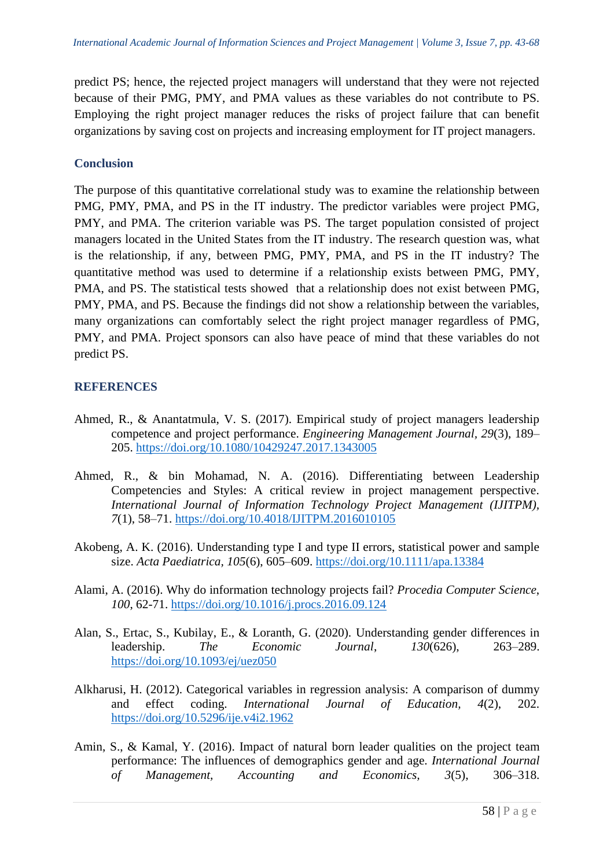predict PS; hence, the rejected project managers will understand that they were not rejected because of their PMG, PMY, and PMA values as these variables do not contribute to PS. Employing the right project manager reduces the risks of project failure that can benefit organizations by saving cost on projects and increasing employment for IT project managers.

# **Conclusion**

The purpose of this quantitative correlational study was to examine the relationship between PMG, PMY, PMA, and PS in the IT industry. The predictor variables were project PMG, PMY, and PMA. The criterion variable was PS. The target population consisted of project managers located in the United States from the IT industry. The research question was, what is the relationship, if any, between PMG, PMY, PMA, and PS in the IT industry? The quantitative method was used to determine if a relationship exists between PMG, PMY, PMA, and PS. The statistical tests showed that a relationship does not exist between PMG, PMY, PMA, and PS. Because the findings did not show a relationship between the variables, many organizations can comfortably select the right project manager regardless of PMG, PMY, and PMA. Project sponsors can also have peace of mind that these variables do not predict PS.

# **REFERENCES**

- Ahmed, R., & Anantatmula, V. S. (2017). Empirical study of project managers leadership competence and project performance. *Engineering Management Journal, 29*(3), 189– 205. [https://doi.org/10.1080/10429247.2017.1343005](about:blank)
- Ahmed, R., & bin Mohamad, N. A. (2016). Differentiating between Leadership Competencies and Styles: A critical review in project management perspective. *International Journal of Information Technology Project Management (IJITPM), 7*(1), 58–71. [https://doi.org/10.4018/IJITPM.2016010105](about:blank)
- Akobeng, A. K. (2016). Understanding type I and type II errors, statistical power and sample size. *Acta Paediatrica, 105*(6), 605–609. [https://doi.org/10.1111/apa.13384](about:blank)
- Alami, A. (2016). Why do information technology projects fail? *Procedia Computer Science*, *100*, 62-71. <https://doi.org/10.1016/j.procs.2016.09.124>
- Alan, S., Ertac, S., Kubilay, E., & Loranth, G. (2020). Understanding gender differences in leadership. *The Economic Journal*, *130*(626), 263–289. [https://doi.org/10.1093/ej/uez050](about:blank)
- Alkharusi, H. (2012). Categorical variables in regression analysis: A comparison of dummy and effect coding. *International Journal of Education, 4*(2), 202. [https://doi.org/10.5296/ije.v4i2.1962](about:blank)
- Amin, S., & Kamal, Y. (2016). Impact of natural born leader qualities on the project team performance: The influences of demographics gender and age. *International Journal of Management, Accounting and Economics, 3*(5), 306–318.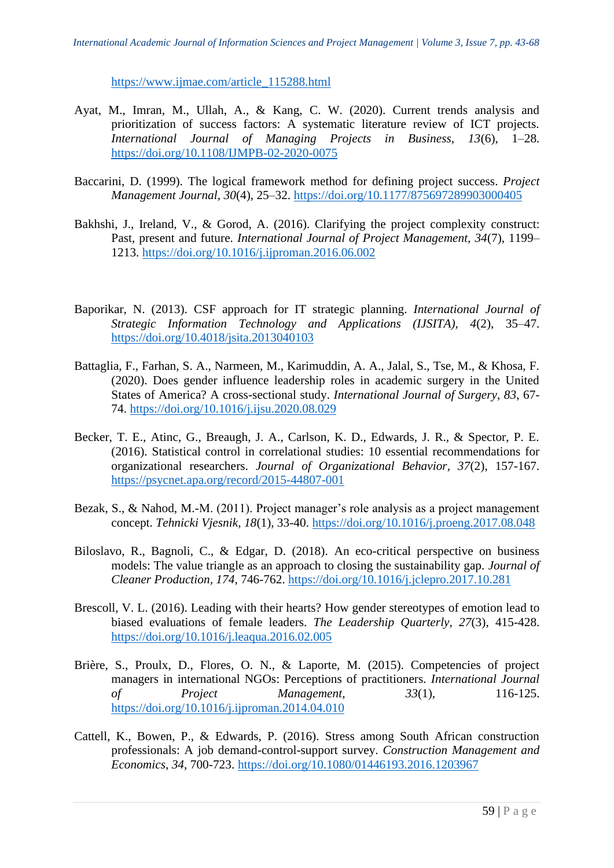[https://www.ijmae.com/article\\_115288.html](about:blank)

- Ayat, M., Imran, M., Ullah, A., & Kang, C. W. (2020). Current trends analysis and prioritization of success factors: A systematic literature review of ICT projects. *International Journal of Managing Projects in Business, 13*(6), 1–28. [https://doi.org/10.1108/IJMPB-02-2020-0075](about:blank)
- Baccarini, D. (1999). The logical framework method for defining project success. *Project Management Journal*, *30*(4), 25–32. [https://doi.org/10.1177/875697289903000405](about:blank)
- Bakhshi, J., Ireland, V., & Gorod, A. (2016). Clarifying the project complexity construct: Past, present and future. *International Journal of Project Management, 34*(7), 1199– 1213. [https://doi.org/10.1016/j.ijproman.2016.06.002](about:blank)
- Baporikar, N. (2013). CSF approach for IT strategic planning. *International Journal of Strategic Information Technology and Applications (IJSITA), 4*(2), 35–47. [https://doi.org/10.4018/jsita.2013040103](about:blank)
- Battaglia, F., Farhan, S. A., Narmeen, M., Karimuddin, A. A., Jalal, S., Tse, M., & Khosa, F. (2020). Does gender influence leadership roles in academic surgery in the United States of America? A cross-sectional study. *International Journal of Surgery*, *83*, 67- 74. [https://doi.org/10.1016/j.ijsu.2020.08.029](about:blank)
- Becker, T. E., Atinc, G., Breaugh, J. A., Carlson, K. D., Edwards, J. R., & Spector, P. E. (2016). Statistical control in correlational studies: 10 essential recommendations for organizational researchers. *Journal of Organizational Behavior, 37*(2), 157-167. [https://psycnet.apa.org/record/2015-44807-001](about:blank)
- Bezak, S., & Nahod, M.-M. (2011). Project manager's role analysis as a project management concept. *Tehnicki Vjesnik, 18*(1), 33-40.<https://doi.org/10.1016/j.proeng.2017.08.048>
- Biloslavo, R., Bagnoli, C., & Edgar, D. (2018). An eco-critical perspective on business models: The value triangle as an approach to closing the sustainability gap. *Journal of Cleaner Production, 174*, 746-762. [https://doi.org/10.1016/j.jclepro.2017.10.281](about:blank)
- Brescoll, V. L. (2016). Leading with their hearts? How gender stereotypes of emotion lead to biased evaluations of female leaders. *The Leadership Quarterly, 27*(3), 415-428. [https://doi.org/10.1016/j.leaqua.2016.02.005](about:blank)
- Brière, S., Proulx, D., Flores, O. N., & Laporte, M. (2015). Competencies of project managers in international NGOs: Perceptions of practitioners. *International Journal of Project Management, 33*(1), 116-125. [https://doi.org/10.1016/j.ijproman.2014.04.010](about:blank)
- Cattell, K., Bowen, P., & Edwards, P. (2016). Stress among South African construction professionals: A job demand-control-support survey. *Construction Management and Economics, 34*, 700-723. [https://doi.org/10.1080/01446193.2016.1203967](about:blank)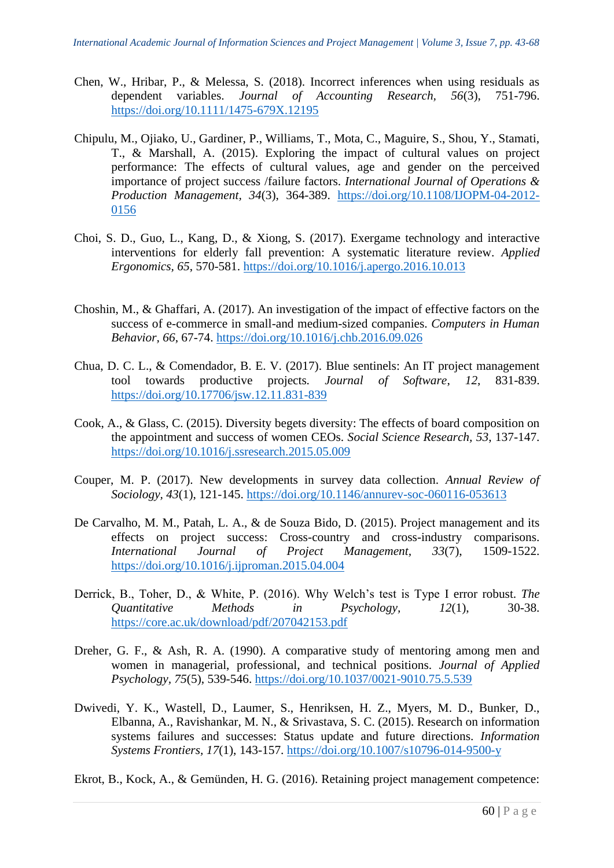- Chen, W., Hribar, P., & Melessa, S. (2018). Incorrect inferences when using residuals as dependent variables. *Journal of Accounting Research, 56*(3), 751-796. [https://doi.org/10.1111/1475-679X.12195](about:blank)
- Chipulu, M., Ojiako, U., Gardiner, P., Williams, T., Mota, C., Maguire, S., Shou, Y., Stamati, T., & Marshall, A. (2015). Exploring the impact of cultural values on project performance: The effects of cultural values, age and gender on the perceived importance of project success /failure factors. *International Journal of Operations & Production Management, 34*(3), 364-389. [https://doi.org/10.1108/IJOPM-04-2012-](about:blank) [0156](about:blank)
- Choi, S. D., Guo, L., Kang, D., & Xiong, S. (2017). Exergame technology and interactive interventions for elderly fall prevention: A systematic literature review. *Applied Ergonomics, 65*, 570-581. https://doi.org[/10.1016/j.apergo.2016.10.013](about:blank)
- Choshin, M., & Ghaffari, A. (2017). An investigation of the impact of effective factors on the success of e-commerce in small-and medium-sized companies. *Computers in Human Behavior, 66*, 67-74. [https://doi.org/10.1016/j.chb.2016.09.026](about:blank)
- Chua, D. C. L., & Comendador, B. E. V. (2017). Blue sentinels: An IT project management tool towards productive projects*. Journal of Software*, *12*, 831-839. [https://doi.org/10.17706/jsw.12.11.831-839](about:blank)
- Cook, A., & Glass, C. (2015). Diversity begets diversity: The effects of board composition on the appointment and success of women CEOs. *Social Science Research, 53*, 137-147. [https://doi.org/10.1016/j.ssresearch.2015.05.009](about:blank)
- Couper, M. P. (2017). New developments in survey data collection. *Annual Review of Sociology, 43*(1), 121-145. [https://doi.org/10.1146/annurev-soc-060116-053613](about:blank)
- De Carvalho, M. M., Patah, L. A., & de Souza Bido, D. (2015). Project management and its effects on project success: Cross-country and cross-industry comparisons. *International Journal of Project Management, 33*(7), 1509-1522. [https://doi.org/10.1016/j.ijproman.2015.04.004](about:blank)
- Derrick, B., Toher, D., & White, P. (2016). Why Welch's test is Type I error robust. *The Quantitative Methods in Psychology, 12*(1), 30-38. [https://core.ac.uk/download/pdf/207042153.pdf](about:blank)
- Dreher, G. F., & Ash, R. A. (1990). A comparative study of mentoring among men and women in managerial, professional, and technical positions. *Journal of Applied Psychology, 75*(5), 539-546. [https://doi.org/10.1037/0021-9010.75.5.539](about:blank)
- Dwivedi, Y. K., Wastell, D., Laumer, S., Henriksen, H. Z., Myers, M. D., Bunker, D., Elbanna, A., Ravishankar, M. N., & Srivastava, S. C. (2015). Research on information systems failures and successes: Status update and future directions. *Information Systems Frontiers, 17*(1), 143-157. [https://doi.org/10.1007/s10796-014-9500-y](about:blank)

Ekrot, B., Kock, A., & Gemünden, H. G. (2016). Retaining project management competence: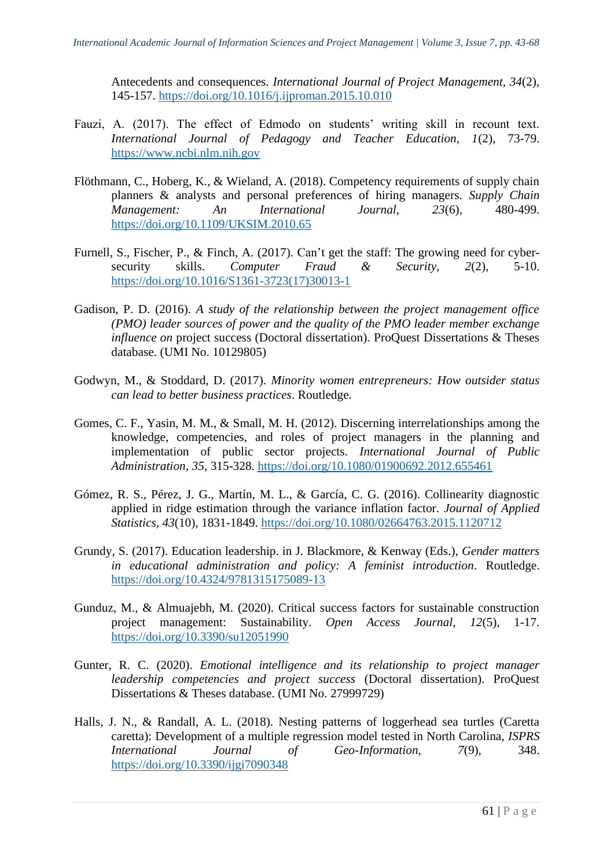Antecedents and consequences. *International Journal of Project Management, 34*(2), 145-157. [https://doi.org/10.1016/j.ijproman.2015.10.010](about:blank)

- Fauzi, A. (2017). The effect of Edmodo on students' writing skill in recount text. *International Journal of Pedagogy and Teacher Education, 1*(2), 73-79. [https://www.ncbi.nlm.nih.gov](about:blank)
- Flöthmann, C., Hoberg, K., & Wieland, A. (2018). Competency requirements of supply chain planners & analysts and personal preferences of hiring managers. *Supply Chain Management: An International Journal, 23*(6), 480-499. [https://doi.org/10.1109/UKSIM.2010.65](about:blank)
- Furnell, S., Fischer, P., & Finch, A. (2017). Can't get the staff: The growing need for cybersecurity skills. *Computer Fraud & Security, 2*(2), 5-10. [https://doi.org/10.1016/S1361-3723\(17\)30013-1](about:blank)
- Gadison, P. D. (2016). *A study of the relationship between the project management office (PMO) leader sources of power and the quality of the PMO leader member exchange influence on* project success (Doctoral dissertation). ProQuest Dissertations & Theses database. (UMI No. 10129805)
- Godwyn, M., & Stoddard, D. (2017). *Minority women entrepreneurs: How outsider status can lead to better business practices*. Routledge.
- Gomes, C. F., Yasin, M. M., & Small, M. H. (2012). Discerning interrelationships among the knowledge, competencies, and roles of project managers in the planning and implementation of public sector projects. *International Journal of Public Administration, 35*, 315-328. [https://doi.org/10.1080/01900692.2012.655461](about:blank)
- Gómez, R. S., Pérez, J. G., Martín, M. L., & García, C. G. (2016). Collinearity diagnostic applied in ridge estimation through the variance inflation factor. *Journal of Applied Statistics, 43*(10), 1831-1849. [https://doi.org/10.1080/02664763.2015.1120712](about:blank)
- Grundy, S. (2017). Education leadership. in J. Blackmore, & Kenway (Eds.), *Gender matters in educational administration and policy: A feminist introduction*. Routledge. [https://doi.org/10.4324/9781315175089-13](about:blank)
- Gunduz, M., & Almuajebh, M. (2020). Critical success factors for sustainable construction project management: Sustainability. *Open Access Journal*, *12*(5), 1-17. [https://doi.org/10.3390/su12051990](about:blank)
- Gunter, R. C. (2020). *Emotional intelligence and its relationship to project manager leadership competencies and project success* (Doctoral dissertation). ProQuest Dissertations & Theses database. (UMI No. 27999729)
- Halls, J. N., & Randall, A. L. (2018). Nesting patterns of loggerhead sea turtles (Caretta caretta): Development of a multiple regression model tested in North Carolina, *ISPRS International Journal of Geo-Information, 7*(9), 348. [https://doi.org/10.3390/ijgi7090348](about:blank)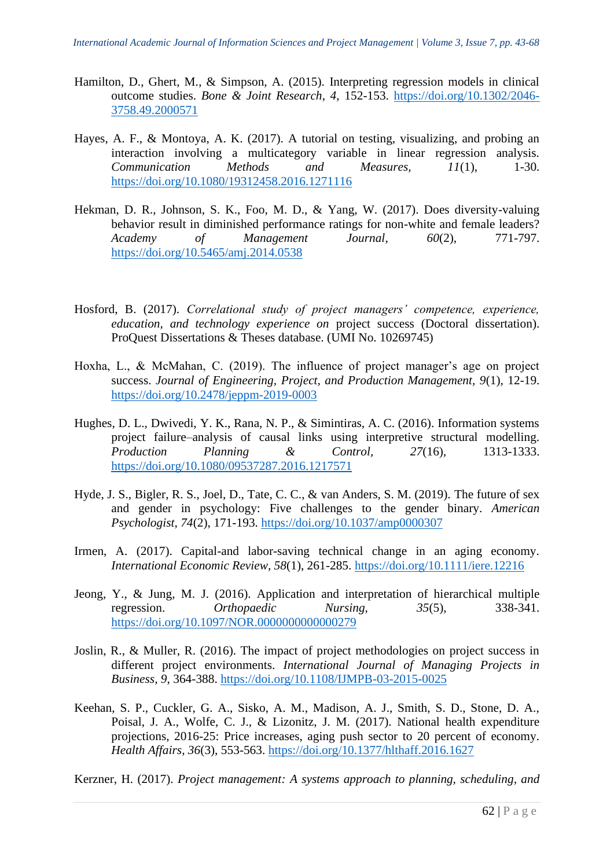- Hamilton, D., Ghert, M., & Simpson, A. (2015). Interpreting regression models in clinical outcome studies. *Bone & Joint Research*, *4*, 152-153. [https://doi.org/10.1302/2046-](about:blank) [3758.49.2000571](about:blank)
- Hayes, A. F., & Montoya, A. K. (2017). A tutorial on testing, visualizing, and probing an interaction involving a multicategory variable in linear regression analysis. *Communication Methods and Measures, 11*(1), 1-30. [https://doi.org/10.1080/19312458.2016.1271116](about:blank)
- Hekman, D. R., Johnson, S. K., Foo, M. D., & Yang, W. (2017). Does diversity-valuing behavior result in diminished performance ratings for non-white and female leaders? *Academy of Management Journal*, *60*(2), 771-797. [https://doi.org/10.5465/amj.2014.0538](about:blank)
- Hosford, B. (2017). *Correlational study of project managers' competence, experience, education, and technology experience on* project success (Doctoral dissertation). ProQuest Dissertations & Theses database. (UMI No. 10269745)
- Hoxha, L., & McMahan, C. (2019). The influence of project manager's age on project success. *Journal of Engineering, Project, and Production Management, 9*(1), 12-19. [https://doi.org/10.2478/jeppm-2019-0003](about:blank)
- Hughes, D. L., Dwivedi, Y. K., Rana, N. P., & Simintiras, A. C. (2016). Information systems project failure–analysis of causal links using interpretive structural modelling. *Production Planning & Control, 27*(16), 1313-1333. [https://doi.org/10.1080/09537287.2016.1217571](about:blank)
- Hyde, J. S., Bigler, R. S., Joel, D., Tate, C. C., & van Anders, S. M. (2019). The future of sex and gender in psychology: Five challenges to the gender binary. *American Psychologist, 74*(2), 171-193. [https://doi.org/10.1037/amp0000307](about:blank)
- Irmen, A. (2017). Capital-and labor-saving technical change in an aging economy. *International Economic Review, 58*(1), 261-285. [https://doi.org/10.1111/iere.12216](about:blank)
- Jeong, Y., & Jung, M. J. (2016). Application and interpretation of hierarchical multiple regression. *Orthopaedic Nursing, 35*(5), 338-341. [https://doi.org/10.1097/NOR.0000000000000279](about:blank)
- Joslin, R., & Muller, R. (2016). The impact of project methodologies on project success in different project environments. *International Journal of Managing Projects in Business, 9*, 364-388. [https://doi.org/10.1108/IJMPB-03-2015-0025](about:blank)
- Keehan, S. P., Cuckler, G. A., Sisko, A. M., Madison, A. J., Smith, S. D., Stone, D. A., Poisal, J. A., Wolfe, C. J., & Lizonitz, J. M. (2017). National health expenditure projections, 2016-25: Price increases, aging push sector to 20 percent of economy. *Health Affairs, 36*(3), 553-563. [https://doi.org/10.1377/hlthaff.2016.1627](about:blank)

Kerzner, H. (2017). *Project management: A systems approach to planning, scheduling, and*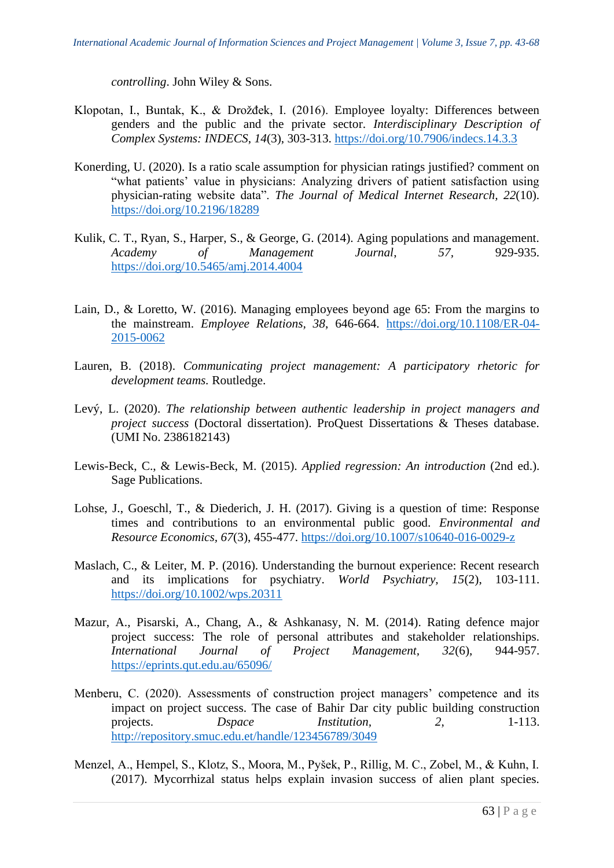*controlling*. John Wiley & Sons.

- Klopotan, I., Buntak, K., & Drožđek, I. (2016). Employee loyalty: Differences between genders and the public and the private sector. *Interdisciplinary Description of Complex Systems: INDECS*, *14*(3), 303-313. [https://doi.org/10.7906/indecs.14.3.3](about:blank)
- Konerding, U. (2020). Is a ratio scale assumption for physician ratings justified? comment on "what patients' value in physicians: Analyzing drivers of patient satisfaction using physician-rating website data". *The Journal of Medical Internet Research, 22*(10). [https://doi.org/10.2196/18289](about:blank)
- Kulik, C. T., Ryan, S., Harper, S., & George, G. (2014). Aging populations and management. *Academy of Management Journal*, *57,* 929-935. [https://doi.org/10.5465/amj.2014.4004](about:blank)
- Lain, D., & Loretto, W. (2016). Managing employees beyond age 65: From the margins to the mainstream. *Employee Relations, 38*, 646-664. [https://doi.org/10.1108/ER-04-](about:blank) [2015-0062](about:blank)
- Lauren, B. (2018). *Communicating project management: A participatory rhetoric for development teams.* Routledge.
- Levý, L. (2020). *The relationship between authentic leadership in project managers and project success* (Doctoral dissertation). ProQuest Dissertations & Theses database. (UMI No. 2386182143)
- Lewis-Beck, C., & Lewis-Beck, M. (2015). *Applied regression: An introduction* (2nd ed.). Sage Publications.
- Lohse, J., Goeschl, T., & Diederich, J. H. (2017). Giving is a question of time: Response times and contributions to an environmental public good. *Environmental and Resource Economics, 67*(3), 455-477. [https://doi.org/10.1007/s10640-016-0029-z](about:blank)
- Maslach, C., & Leiter, M. P. (2016). Understanding the burnout experience: Recent research and its implications for psychiatry. *World Psychiatry, 15*(2), 103-111. [https://doi.org/10.1002/wps.20311](about:blank)
- Mazur, A., Pisarski, A., Chang, A., & Ashkanasy, N. M. (2014). Rating defence major project success: The role of personal attributes and stakeholder relationships*. International Journal of Project Management, 32*(6), 944-957. [https://eprints.qut.edu.au/65096/](about:blank)
- Menberu, C. (2020). Assessments of construction project managers' competence and its impact on project success. The case of Bahir Dar city public building construction projects. *Dspace Institution*, 2, 1-113. [http://repository.smuc.edu.et/handle/123456789/3049](about:blank)
- Menzel, A., Hempel, S., Klotz, S., Moora, M., Pyšek, P., Rillig, M. C., Zobel, M., & Kuhn, I. (2017). Mycorrhizal status helps explain invasion success of alien plant species.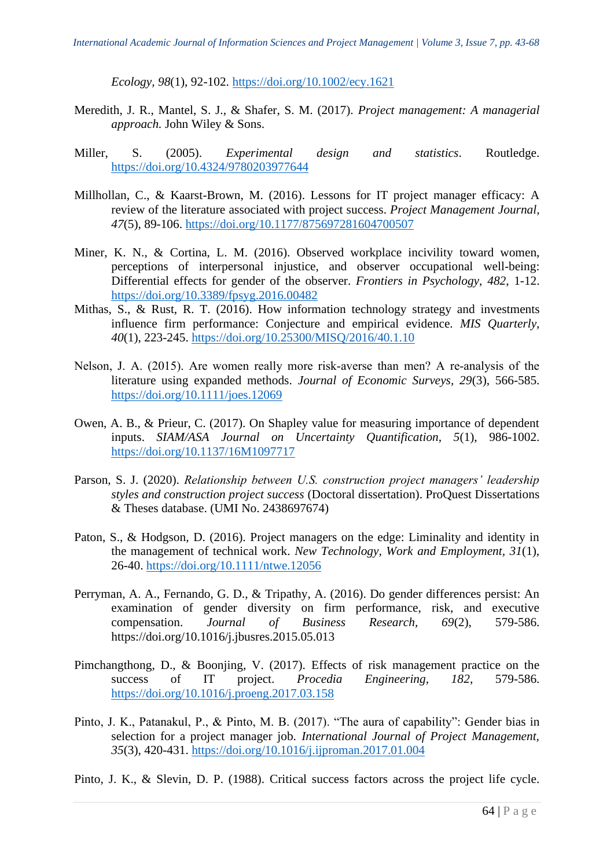*Ecology, 98*(1), 92-102. [https://doi.org/10.1002/ecy.1621](about:blank)

- Meredith, J. R., Mantel, S. J., & Shafer, S. M. (2017). *Project management: A managerial approach.* John Wiley & Sons.
- Miller, S. (2005). *Experimental design and statistics*. Routledge. [https://doi.org/10.4324/9780203977644](about:blank)
- Millhollan, C., & Kaarst-Brown, M. (2016). Lessons for IT project manager efficacy: A review of the literature associated with project success. *Project Management Journal, 47*(5), 89-106. [https://doi.org/10.1177/875697281604700507](about:blank)
- Miner, K. N., & Cortina, L. M. (2016). Observed workplace incivility toward women, perceptions of interpersonal injustice, and observer occupational well-being: Differential effects for gender of the observer. *Frontiers in Psychology, 482*, 1-12. [https://doi.org/10.3389/fpsyg.2016.00482](about:blank)
- Mithas, S., & Rust, R. T. (2016). How information technology strategy and investments influence firm performance: Conjecture and empirical evidence. *MIS Quarterly, 40*(1), 223-245. [https://doi.org/10.25300/MISQ/2016/40.1.10](about:blank)
- Nelson, J. A. (2015). Are women really more risk‐averse than men? A re‐analysis of the literature using expanded methods. *Journal of Economic Surveys, 29*(3), 566-585. [https://doi.org/10.1111/joes.12069](about:blank)
- Owen, A. B., & Prieur, C. (2017). On Shapley value for measuring importance of dependent inputs. *SIAM/ASA Journal on Uncertainty Quantification, 5*(1), 986-1002. [https://doi.org/10.1137/16M1097717](about:blank)
- Parson, S. J. (2020). *Relationship between U.S. construction project managers' leadership styles and construction project success* (Doctoral dissertation). ProQuest Dissertations & Theses database. (UMI No. 2438697674)
- Paton, S., & Hodgson, D. (2016). Project managers on the edge: Liminality and identity in the management of technical work. *New Technology, Work and Employment, 31*(1), 26-40. [https://doi.org/10.1111/ntwe.12056](about:blank)
- Perryman, A. A., Fernando, G. D., & Tripathy, A. (2016). Do gender differences persist: An examination of gender diversity on firm performance, risk, and executive compensation. *Journal of Business Research, 69*(2), 579-586. https://doi.org[/10.1016/j.jbusres.2015.05.013](about:blank)
- Pimchangthong, D., & Boonjing, V. (2017). Effects of risk management practice on the success of IT project. *Procedia Engineering, 182*, 579-586. [https://doi.org/10.1016/j.proeng.2017.03.158](about:blank)
- Pinto, J. K., Patanakul, P., & Pinto, M. B. (2017). "The aura of capability": Gender bias in selection for a project manager job. *International Journal of Project Management, 35*(3), 420-431. [https://doi.org/10.1016/j.ijproman.2017.01.004](about:blank)

Pinto, J. K., & Slevin, D. P. (1988). Critical success factors across the project life cycle.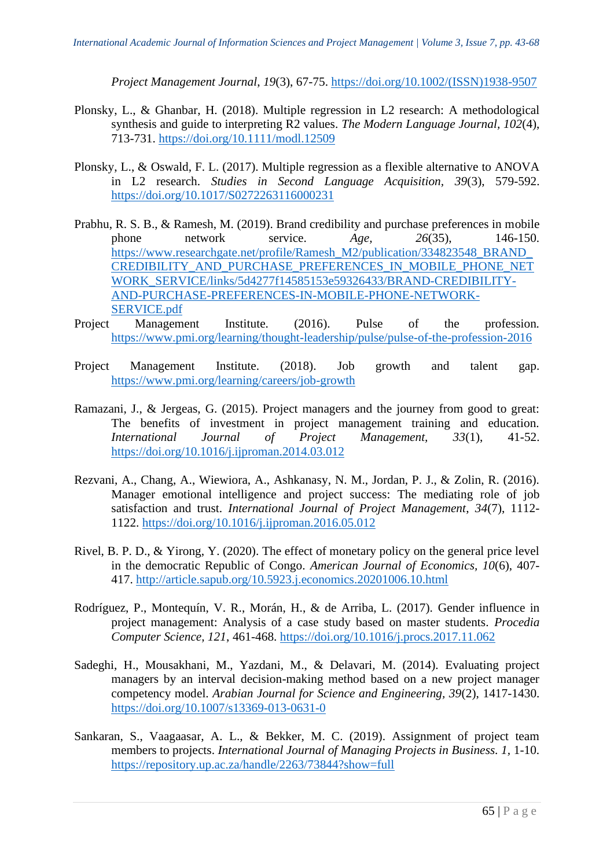*Project Management Journal*, *19*(3), 67-75. [https://doi.org/10.1002/\(ISSN\)1938-9507](about:blank)

- Plonsky, L., & Ghanbar, H. (2018). Multiple regression in L2 research: A methodological synthesis and guide to interpreting R2 values. *The Modern Language Journal, 102*(4), 713-731. [https://doi.org/10.1111/modl.12509](about:blank)
- Plonsky, L., & Oswald, F. L. (2017). Multiple regression as a flexible alternative to ANOVA in L2 research. *Studies in Second Language Acquisition, 39*(3), 579-592. [https://doi.org/10.1017/S0272263116000231](about:blank)
- Prabhu, R. S. B., & Ramesh, M. (2019). Brand credibility and purchase preferences in mobile phone network service. *Age, 26*(35), 146-150. [https://www.researchgate.net/profile/Ramesh\\_M2/publication/334823548\\_BRAND\\_](about:blank) [CREDIBILITY\\_AND\\_PURCHASE\\_PREFERENCES\\_IN\\_MOBILE\\_PHONE\\_NET](about:blank) [WORK\\_SERVICE/links/5d4277f14585153e59326433/BRAND-CREDIBILITY-](about:blank)[AND-PURCHASE-PREFERENCES-IN-MOBILE-PHONE-NETWORK-](about:blank)[SERVICE.pdf](about:blank)
- Project Management Institute. (2016). Pulse of the profession*.* [https://www.pmi.org/learning/thought-leadership/pulse/pulse-of-the-profession-2016](about:blank)
- Project Management Institute. (2018). Job growth and talent gap. [https://www.pmi.org/learning/careers/job-growth](about:blank)
- Ramazani, J., & Jergeas, G. (2015). Project managers and the journey from good to great: The benefits of investment in project management training and education. *International Journal of Project Management, 33*(1), 41-52. [https://doi.org/10.1016/j.ijproman.2014.03.012](about:blank)
- Rezvani, A., Chang, A., Wiewiora, A., Ashkanasy, N. M., Jordan, P. J., & Zolin, R. (2016). Manager emotional intelligence and project success: The mediating role of job satisfaction and trust. *International Journal of Project Management*, *34*(7), 1112- 1122. [https://doi.org/10.1016/j.ijproman.2016.05.012](about:blank)
- Rivel, B. P. D., & Yirong, Y. (2020). The effect of monetary policy on the general price level in the democratic Republic of Congo. *American Journal of Economics, 10*(6), 407- 417. [http://article.sapub.org/10.5923.j.economics.20201006.10.html](about:blank)
- Rodríguez, P., Montequín, V. R., Morán, H., & de Arriba, L. (2017). Gender influence in project management: Analysis of a case study based on master students. *Procedia Computer Science, 121*, 461-468. [https://doi.org/10.1016/j.procs.2017.11.062](about:blank)
- Sadeghi, H., Mousakhani, M., Yazdani, M., & Delavari, M. (2014). Evaluating project managers by an interval decision-making method based on a new project manager competency model. *Arabian Journal for Science and Engineering, 39*(2), 1417-1430. [https://doi.org/10.1007/s13369-013-0631-0](about:blank)
- Sankaran, S., Vaagaasar, A. L., & Bekker, M. C. (2019). Assignment of project team members to projects. *International Journal of Managing Projects in Business. 1,* 1-10. [https://repository.up.ac.za/handle/2263/73844?show=full](about:blank)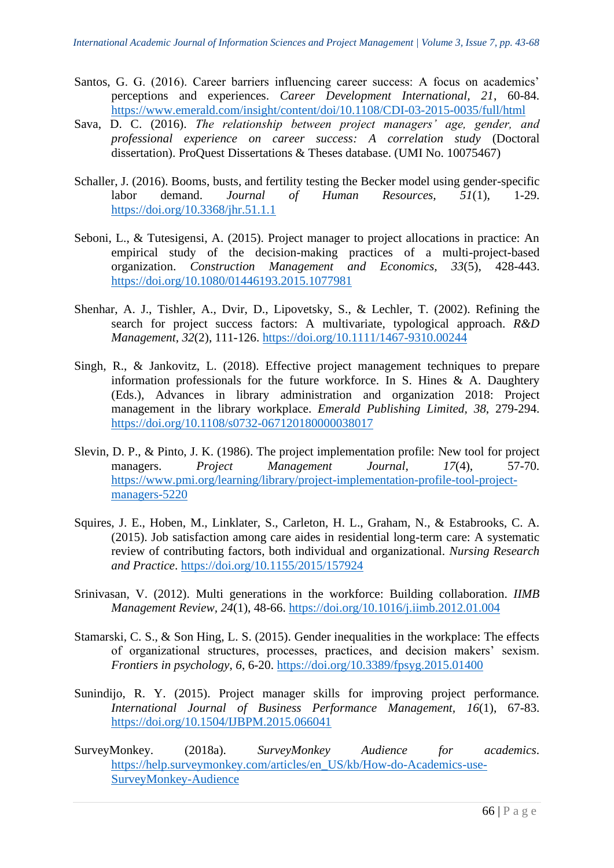- Santos, G. G. (2016). Career barriers influencing career success: A focus on academics' perceptions and experiences. *Career Development International, 21*, 60-84. [https://www.emerald.com/insight/content/doi/10.1108/CDI-03-2015-0035/full/html](about:blank)
- Sava, D. C. (2016). *The relationship between project managers' age, gender, and professional experience on career success: A correlation study* (Doctoral dissertation). ProQuest Dissertations & Theses database. (UMI No. 10075467)
- Schaller, J. (2016). Booms, busts, and fertility testing the Becker model using gender-specific labor demand. *Journal of Human Resources, 51*(1), 1-29. [https://doi.org/10.3368/jhr.51.1.1](about:blank)
- Seboni, L., & Tutesigensi, A. (2015). Project manager to project allocations in practice: An empirical study of the decision-making practices of a multi-project-based organization. *Construction Management and Economics, 33*(5), 428-443. [https://doi.org/10.1080/01446193.2015.1077981](about:blank)
- Shenhar, A. J., Tishler, A., Dvir, D., Lipovetsky, S., & Lechler, T. (2002). Refining the search for project success factors: A multivariate, typological approach. *R&D Management*, *32*(2), 111-126. [https://doi.org/10.1111/1467-9310.00244](about:blank)
- Singh, R., & Jankovitz, L. (2018). Effective project management techniques to prepare information professionals for the future workforce. In S. Hines  $\&$  A. Daughtery (Eds.), Advances in library administration and organization 2018: Project management in the library workplace. *Emerald Publishing Limited, 38*, 279-294. [https://doi.org/10.1108/s0732-067120180000038017](about:blank)
- Slevin, D. P., & Pinto, J. K. (1986). The project implementation profile: New tool for project managers. *Project Management Journal, 17*(4), 57-70. [https://www.pmi.org/learning/library/project-implementation-profile-tool-project](about:blank)[managers-5220](about:blank)
- Squires, J. E., Hoben, M., Linklater, S., Carleton, H. L., Graham, N., & Estabrooks, C. A. (2015). Job satisfaction among care aides in residential long-term care: A systematic review of contributing factors, both individual and organizational. *Nursing Research and Practice*. [https://doi.org/10.1155/2015/157924](about:blank)
- Srinivasan, V. (2012). Multi generations in the workforce: Building collaboration. *IIMB Management Review, 24*(1), 48-66. [https://doi.org/10.1016/j.iimb.2012.01.004](about:blank)
- Stamarski, C. S., & Son Hing, L. S. (2015). Gender inequalities in the workplace: The effects of organizational structures, processes, practices, and decision makers' sexism. *Frontiers in psychology*, *6*, 6-20. [https://doi.org/10.3389/fpsyg.2015.01400](about:blank)
- Sunindijo, R. Y. (2015). Project manager skills for improving project performance*. International Journal of Business Performance Management, 16*(1), 67-83. [https://doi.org/10.1504/IJBPM.2015.066041](about:blank)
- SurveyMonkey. (2018a). *SurveyMonkey Audience for academics*. [https://help.surveymonkey.com/articles/en\\_US/kb/How-do-Academics-use-](about:blank)[SurveyMonkey-Audience](about:blank)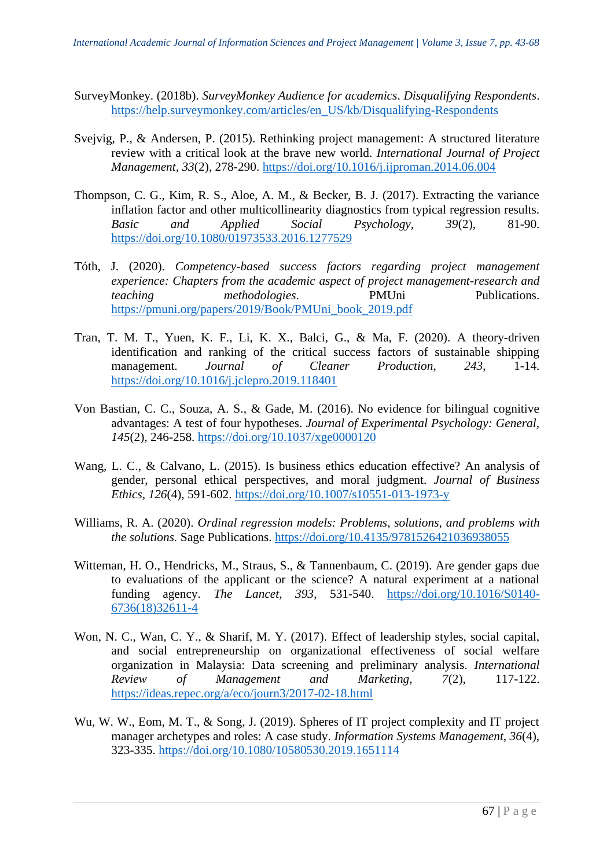- SurveyMonkey. (2018b). *SurveyMonkey Audience for academics*. *Disqualifying Respondents*. [https://help.surveymonkey.com/articles/en\\_US/kb/Disqualifying-Respondents](about:blank)
- Svejvig, P., & Andersen, P. (2015). Rethinking project management: A structured literature review with a critical look at the brave new world. *International Journal of Project Management, 33*(2), 278-290. [https://doi.org/10.1016/j.ijproman.2014.06.004](about:blank)
- Thompson, C. G., Kim, R. S., Aloe, A. M., & Becker, B. J. (2017). Extracting the variance inflation factor and other multicollinearity diagnostics from typical regression results. *Basic and Applied Social Psychology, 39*(2), 81-90. [https://doi.org/10.1080/01973533.2016.1277529](about:blank)
- Tóth, J. (2020). *Competency-based success factors regarding project management experience: Chapters from the academic aspect of project management-research and teaching methodologies*. PMUni Publications. [https://pmuni.org/papers/2019/Book/PMUni\\_book\\_2019.pdf](about:blank)
- Tran, T. M. T., Yuen, K. F., Li, K. X., Balci, G., & Ma, F. (2020). A theory-driven identification and ranking of the critical success factors of sustainable shipping management. *Journal of Cleaner Production*, *243*, 1-14. [https://doi.org/10.1016/j.jclepro.2019.118401](about:blank)
- Von Bastian, C. C., Souza, A. S., & Gade, M. (2016). No evidence for bilingual cognitive advantages: A test of four hypotheses. *Journal of Experimental Psychology: General, 145*(2), 246-258. [https://doi.org/10.1037/xge0000120](about:blank)
- Wang, L. C., & Calvano, L. (2015). Is business ethics education effective? An analysis of gender, personal ethical perspectives, and moral judgment. *Journal of Business Ethics, 126*(4), 591-602. [https://doi.org/10.1007/s10551-013-1973-y](about:blank)
- Williams, R. A. (2020). *Ordinal regression models: Problems, solutions, and problems with the solutions.* Sage Publications. [https://doi.org/10.4135/9781526421036938055](about:blank)
- Witteman, H. O., Hendricks, M., Straus, S., & Tannenbaum, C. (2019). Are gender gaps due to evaluations of the applicant or the science? A natural experiment at a national funding agency. *The Lancet, 393*, 531-540. [https://doi.org/10.1016/S0140-](about:blank) [6736\(18\)32611-4](about:blank)
- Won, N. C., Wan, C. Y., & Sharif, M. Y. (2017). Effect of leadership styles, social capital, and social entrepreneurship on organizational effectiveness of social welfare organization in Malaysia: Data screening and preliminary analysis. *International Review of Management and Marketing, 7*(2), 117-122. [https://ideas.repec.org/a/eco/journ3/2017-02-18.html](about:blank)
- Wu, W. W., Eom, M. T., & Song, J. (2019). Spheres of IT project complexity and IT project manager archetypes and roles: A case study. *Information Systems Management, 36*(4), 323-335. [https://doi.org/10.1080/10580530.2019.1651114](about:blank)